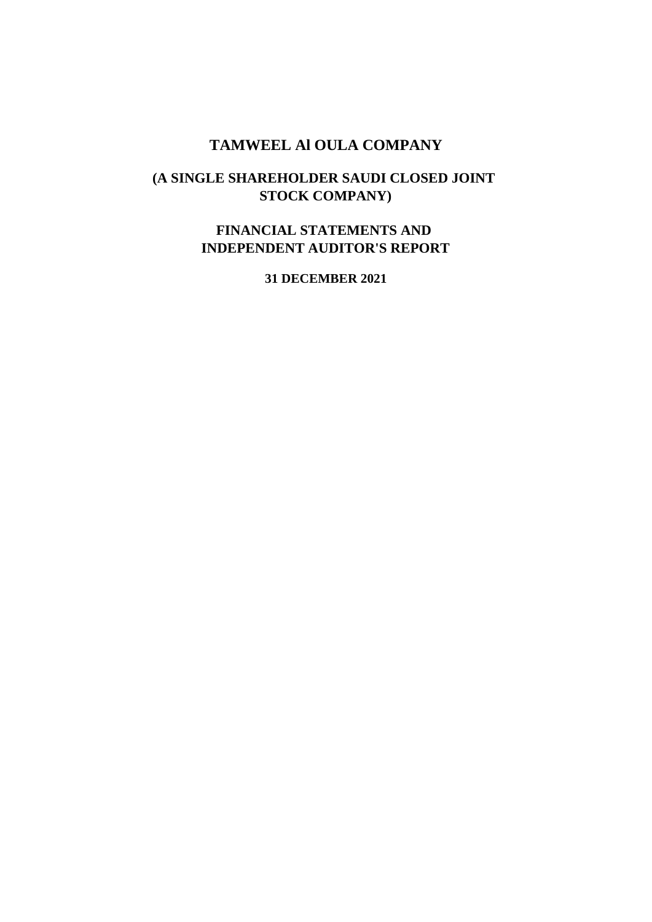### **TAMWEEL Al OULA COMPANY**

### **(A SINGLE SHAREHOLDER SAUDI CLOSED JOINT STOCK COMPANY)**

### **FINANCIAL STATEMENTS AND INDEPENDENT AUDITOR'S REPORT**

**31 DECEMBER 2021**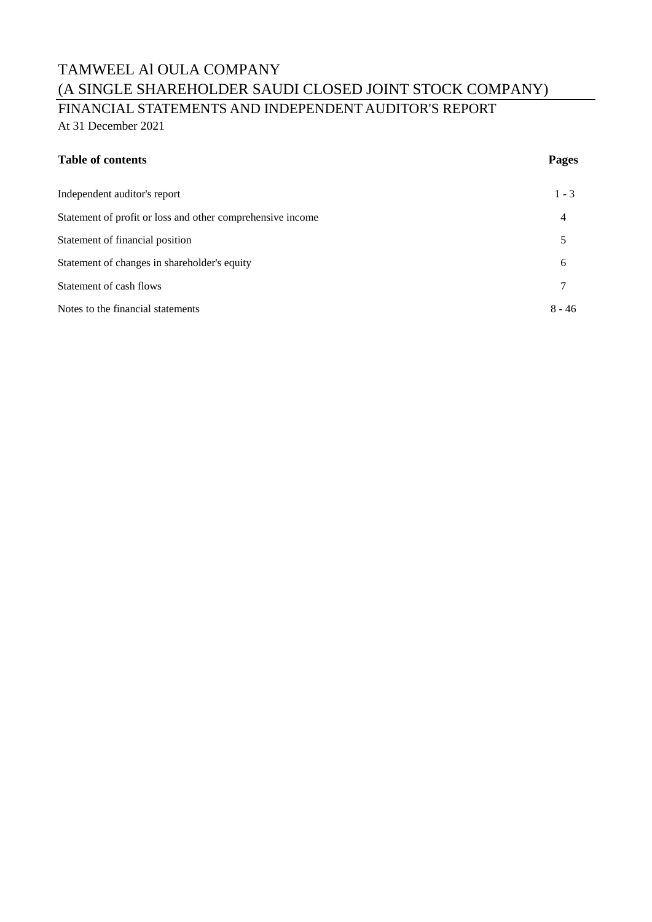FINANCIAL STATEMENTS AND INDEPENDENT AUDITOR'S REPORT At 31 December 2021

### **Table of contents Pages**

| 11<br>ı |  |
|---------|--|
|         |  |

| Independent auditor's report                               | $1 - 3$        |
|------------------------------------------------------------|----------------|
| Statement of profit or loss and other comprehensive income | $\overline{4}$ |
| Statement of financial position                            |                |
| Statement of changes in shareholder's equity               | 6              |
| Statement of cash flows                                    | 7              |
| Notes to the financial statements                          | $8 - 46$       |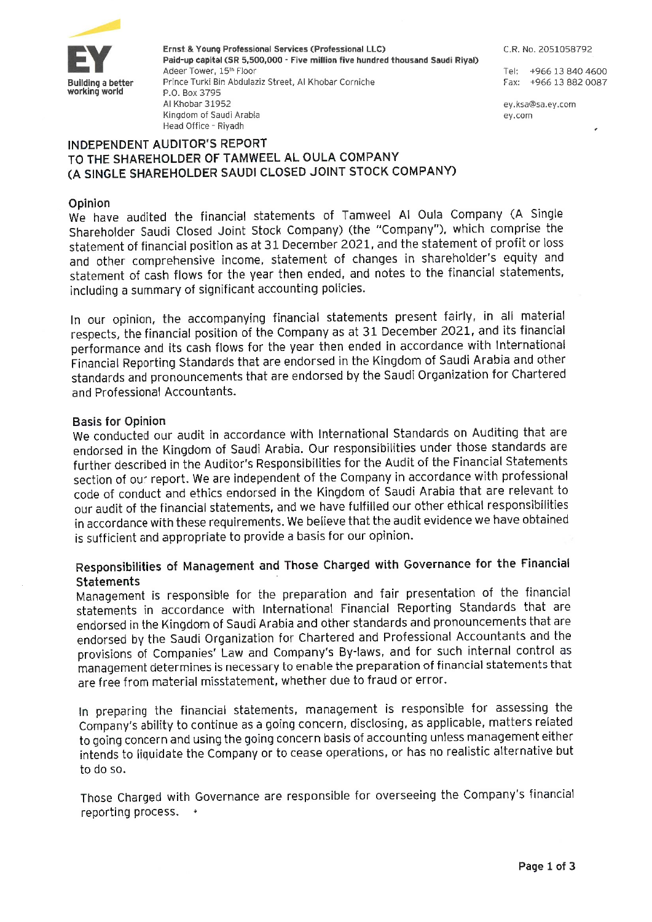

Ernst & Young Professional Services (Professional LLC) Paid-up capital (SR 5,500,000 - Five million five hundred thousand Saudi Riyal) Adeer Tower, 15th Floor Prince Turki Bin Abdulaziz Street, Al Khobar Corniche P.O. Box 3795 Al Khobar 31952 Kingdom of Saudi Arabia Head Office - Riyadh

C.R. No. 2051058792

Tel: +966 13 840 4600 Fax: +966 13 882 0087

ey.ksa@sa.ey.com ey.com

### **INDEPENDENT AUDITOR'S REPORT** TO THE SHAREHOLDER OF TAMWEEL AL OULA COMPANY (A SINGLE SHAREHOLDER SAUDI CLOSED JOINT STOCK COMPANY)

### Opinion

We have audited the financial statements of Tamweel Al Oula Company (A Single Shareholder Saudi Closed Joint Stock Company) (the "Company"), which comprise the statement of financial position as at 31 December 2021, and the statement of profit or loss and other comprehensive income, statement of changes in shareholder's equity and statement of cash flows for the year then ended, and notes to the financial statements, including a summary of significant accounting policies.

In our opinion, the accompanying financial statements present fairly, in all material respects, the financial position of the Company as at 31 December 2021, and its financial performance and its cash flows for the year then ended in accordance with International Financial Reporting Standards that are endorsed in the Kingdom of Saudi Arabia and other standards and pronouncements that are endorsed by the Saudi Organization for Chartered and Professional Accountants.

### **Basis for Opinion**

We conducted our audit in accordance with International Standards on Auditing that are endorsed in the Kingdom of Saudi Arabia. Our responsibilities under those standards are further described in the Auditor's Responsibilities for the Audit of the Financial Statements section of our report. We are independent of the Company in accordance with professional code of conduct and ethics endorsed in the Kingdom of Saudi Arabia that are relevant to our audit of the financial statements, and we have fulfilled our other ethical responsibilities in accordance with these requirements. We believe that the audit evidence we have obtained is sufficient and appropriate to provide a basis for our opinion.

### Responsibilities of Management and Those Charged with Governance for the Financial **Statements**

Management is responsible for the preparation and fair presentation of the financial statements in accordance with International Financial Reporting Standards that are endorsed in the Kingdom of Saudi Arabia and other standards and pronouncements that are endorsed by the Saudi Organization for Chartered and Professional Accountants and the provisions of Companies' Law and Company's By-laws, and for such internal control as management determines is necessary to enable the preparation of financial statements that are free from material misstatement, whether due to fraud or error.

In preparing the financial statements, management is responsible for assessing the Company's ability to continue as a going concern, disclosing, as applicable, matters related to going concern and using the going concern basis of accounting unless management either intends to liquidate the Company or to cease operations, or has no realistic alternative but to do so.

Those Charged with Governance are responsible for overseeing the Company's financial reporting process. \*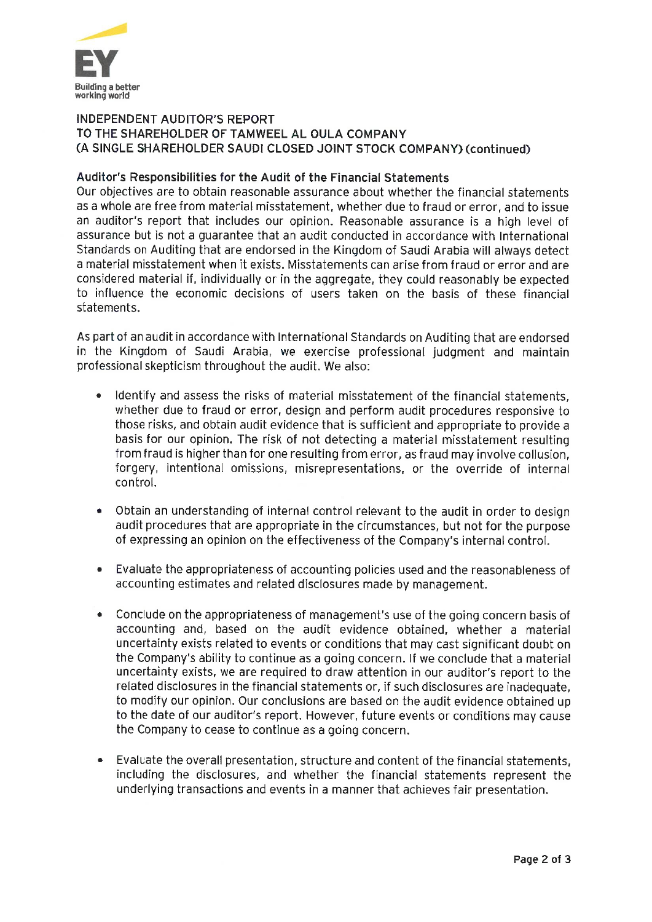

### **INDEPENDENT AUDITOR'S REPORT** TO THE SHAREHOLDER OF TAMWEEL AL OULA COMPANY (A SINGLE SHAREHOLDER SAUDI CLOSED JOINT STOCK COMPANY) (continued)

### Auditor's Responsibilities for the Audit of the Financial Statements

Our objectives are to obtain reasonable assurance about whether the financial statements as a whole are free from material misstatement, whether due to fraud or error, and to issue an auditor's report that includes our opinion. Reasonable assurance is a high level of assurance but is not a quarantee that an audit conducted in accordance with International Standards on Auditing that are endorsed in the Kingdom of Saudi Arabia will always detect a material misstatement when it exists. Misstatements can arise from fraud or error and are considered material if, individually or in the aggregate, they could reasonably be expected to influence the economic decisions of users taken on the basis of these financial statements.

As part of an audit in accordance with International Standards on Auditing that are endorsed in the Kingdom of Saudi Arabia, we exercise professional judgment and maintain professional skepticism throughout the audit. We also:

- Identify and assess the risks of material misstatement of the financial statements.  $\bullet$ whether due to fraud or error, design and perform audit procedures responsive to those risks, and obtain audit evidence that is sufficient and appropriate to provide a basis for our opinion. The risk of not detecting a material misstatement resulting from fraud is higher than for one resulting from error, as fraud may involve collusion. forgery, intentional omissions, misrepresentations, or the override of internal control.
- Obtain an understanding of internal control relevant to the audit in order to design  $\bullet$ audit procedures that are appropriate in the circumstances, but not for the purpose of expressing an opinion on the effectiveness of the Company's internal control.
- Evaluate the appropriateness of accounting policies used and the reasonableness of accounting estimates and related disclosures made by management.
- Conclude on the appropriateness of management's use of the going concern basis of accounting and, based on the audit evidence obtained, whether a material uncertainty exists related to events or conditions that may cast significant doubt on the Company's ability to continue as a going concern. If we conclude that a material uncertainty exists, we are required to draw attention in our auditor's report to the related disclosures in the financial statements or, if such disclosures are inadequate, to modify our opinion. Our conclusions are based on the audit evidence obtained up to the date of our auditor's report. However, future events or conditions may cause the Company to cease to continue as a going concern.
- Evaluate the overall presentation, structure and content of the financial statements. including the disclosures, and whether the financial statements represent the underlying transactions and events in a manner that achieves fair presentation.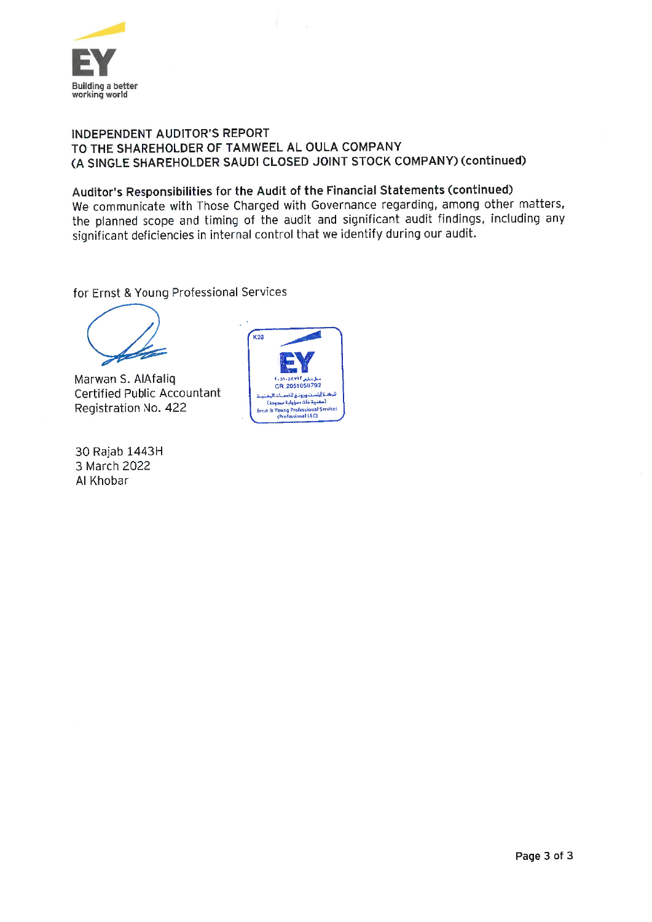

### INDEPENDENT AUDITOR'S REPORT TO THE SHAREHOLDER OF TAMWEEL AL OULA COMPANY (A SINGLE SHAREHOLDER SAUDI CLOSED JOINT STOCK COMPANY) (continued)

### Auditor's Responsibilities for the Audit of the Financial Statements (continued)

We communicate with Those Charged with Governance regarding, among other matters, the planned scope and timing of the audit and significant audit findings, including any significant deficiencies in internal control that we identify during our audit.

for Ernst & Young Professional Services

Marwan S. AlAfaliq **Certified Public Accountant** Registration No. 422

30 Rajab 1443H 3 March 2022 Al Khobar

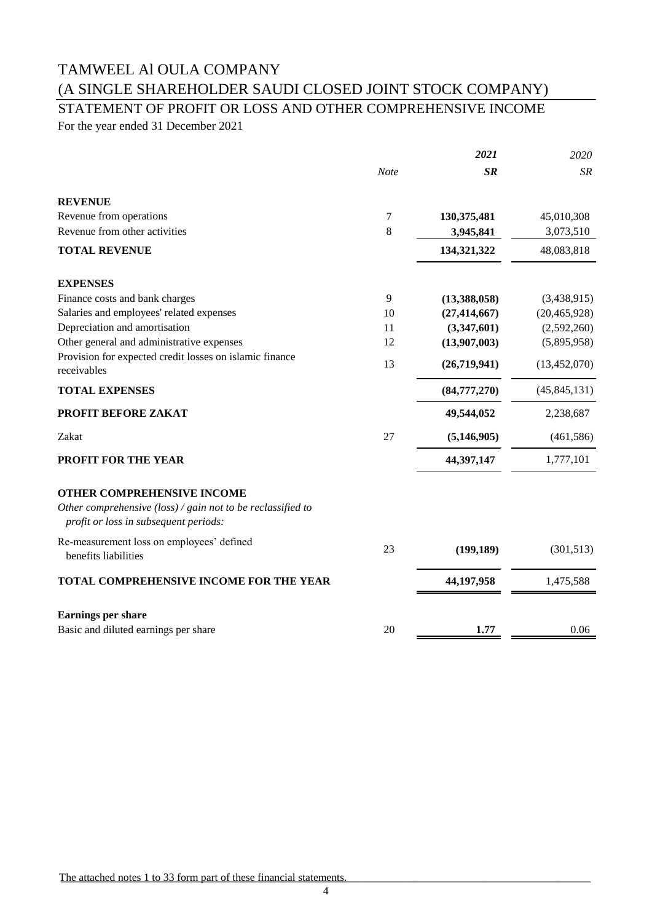# STATEMENT OF PROFIT OR LOSS AND OTHER COMPREHENSIVE INCOME

For the year ended 31 December 2021

|                                                                                                      |             | 2021           | 2020           |
|------------------------------------------------------------------------------------------------------|-------------|----------------|----------------|
|                                                                                                      | <b>Note</b> | SR             | <b>SR</b>      |
| <b>REVENUE</b>                                                                                       |             |                |                |
| Revenue from operations                                                                              | 7           | 130,375,481    | 45,010,308     |
| Revenue from other activities                                                                        | 8           | 3,945,841      | 3,073,510      |
| <b>TOTAL REVENUE</b>                                                                                 |             | 134,321,322    | 48,083,818     |
| <b>EXPENSES</b>                                                                                      |             |                |                |
| Finance costs and bank charges                                                                       | 9           | (13,388,058)   | (3,438,915)    |
| Salaries and employees' related expenses                                                             | 10          | (27, 414, 667) | (20, 465, 928) |
| Depreciation and amortisation                                                                        | 11          | (3,347,601)    | (2,592,260)    |
| Other general and administrative expenses                                                            | 12          | (13,907,003)   | (5,895,958)    |
| Provision for expected credit losses on islamic finance<br>receivables                               | 13          | (26,719,941)   | (13, 452, 070) |
| <b>TOTAL EXPENSES</b>                                                                                |             | (84,777,270)   | (45, 845, 131) |
| PROFIT BEFORE ZAKAT                                                                                  |             | 49,544,052     | 2,238,687      |
| Zakat                                                                                                | 27          | (5, 146, 905)  | (461, 586)     |
| <b>PROFIT FOR THE YEAR</b>                                                                           |             | 44,397,147     | 1,777,101      |
| <b>OTHER COMPREHENSIVE INCOME</b>                                                                    |             |                |                |
| Other comprehensive (loss) / gain not to be reclassified to<br>profit or loss in subsequent periods: |             |                |                |
| Re-measurement loss on employees' defined<br>benefits liabilities                                    | 23          | (199, 189)     | (301, 513)     |
| TOTAL COMPREHENSIVE INCOME FOR THE YEAR                                                              |             | 44,197,958     | 1,475,588      |
| Earnings per share                                                                                   |             |                |                |
| Basic and diluted earnings per share                                                                 | 20          | 1.77           | 0.06           |
|                                                                                                      |             |                |                |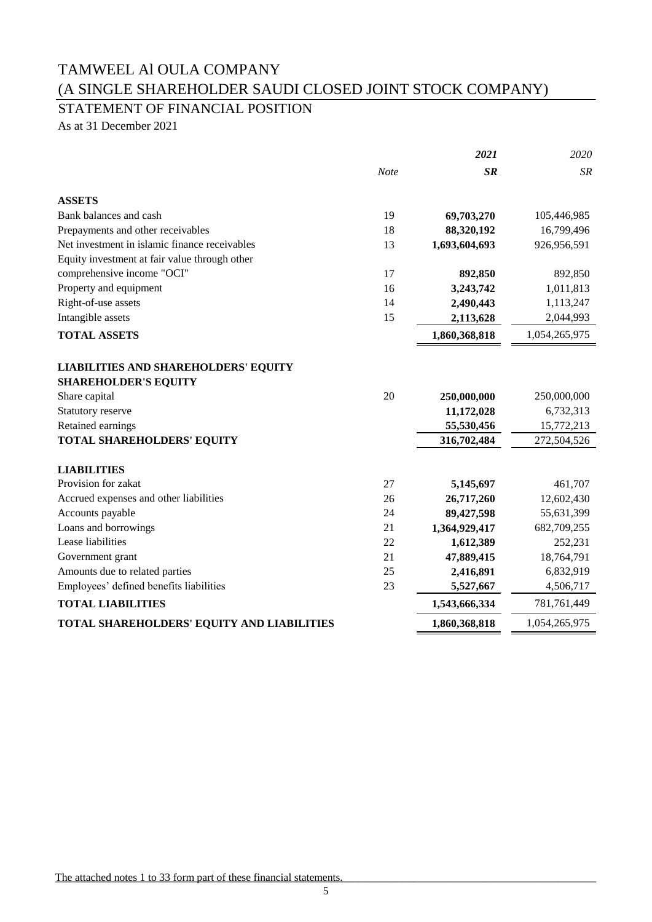STATEMENT OF FINANCIAL POSITION

As at 31 December 2021

|                                                                            |             | 2021          | 2020          |
|----------------------------------------------------------------------------|-------------|---------------|---------------|
|                                                                            | <b>Note</b> | $S_{R}$       | <b>SR</b>     |
| <b>ASSETS</b>                                                              |             |               |               |
| Bank balances and cash                                                     | 19          | 69,703,270    | 105,446,985   |
| Prepayments and other receivables                                          | 18          | 88,320,192    | 16,799,496    |
| Net investment in islamic finance receivables                              | 13          | 1,693,604,693 | 926,956,591   |
| Equity investment at fair value through other                              |             |               |               |
| comprehensive income "OCI"                                                 | 17          | 892,850       | 892,850       |
| Property and equipment                                                     | 16          | 3,243,742     | 1,011,813     |
| Right-of-use assets                                                        | 14          | 2,490,443     | 1,113,247     |
| Intangible assets                                                          | 15          | 2,113,628     | 2,044,993     |
| <b>TOTAL ASSETS</b>                                                        |             | 1,860,368,818 | 1,054,265,975 |
| <b>LIABILITIES AND SHAREHOLDERS' EQUITY</b><br><b>SHAREHOLDER'S EQUITY</b> |             |               |               |
| Share capital                                                              | 20          | 250,000,000   | 250,000,000   |
| Statutory reserve                                                          |             | 11,172,028    | 6,732,313     |
| Retained earnings                                                          |             | 55,530,456    | 15,772,213    |
| TOTAL SHAREHOLDERS' EQUITY                                                 |             | 316,702,484   | 272,504,526   |
| <b>LIABILITIES</b>                                                         |             |               |               |
| Provision for zakat                                                        | 27          | 5,145,697     | 461,707       |
| Accrued expenses and other liabilities                                     | 26          | 26,717,260    | 12,602,430    |
| Accounts payable                                                           | 24          | 89,427,598    | 55,631,399    |
| Loans and borrowings                                                       | 21          | 1,364,929,417 | 682,709,255   |
| Lease liabilities                                                          | 22          | 1,612,389     | 252,231       |
| Government grant                                                           | 21          | 47,889,415    | 18,764,791    |
| Amounts due to related parties                                             | 25          | 2,416,891     | 6,832,919     |
| Employees' defined benefits liabilities                                    | 23          | 5,527,667     | 4,506,717     |
| <b>TOTAL LIABILITIES</b>                                                   |             | 1,543,666,334 | 781,761,449   |
| TOTAL SHAREHOLDERS' EQUITY AND LIABILITIES                                 |             | 1,860,368,818 | 1,054,265,975 |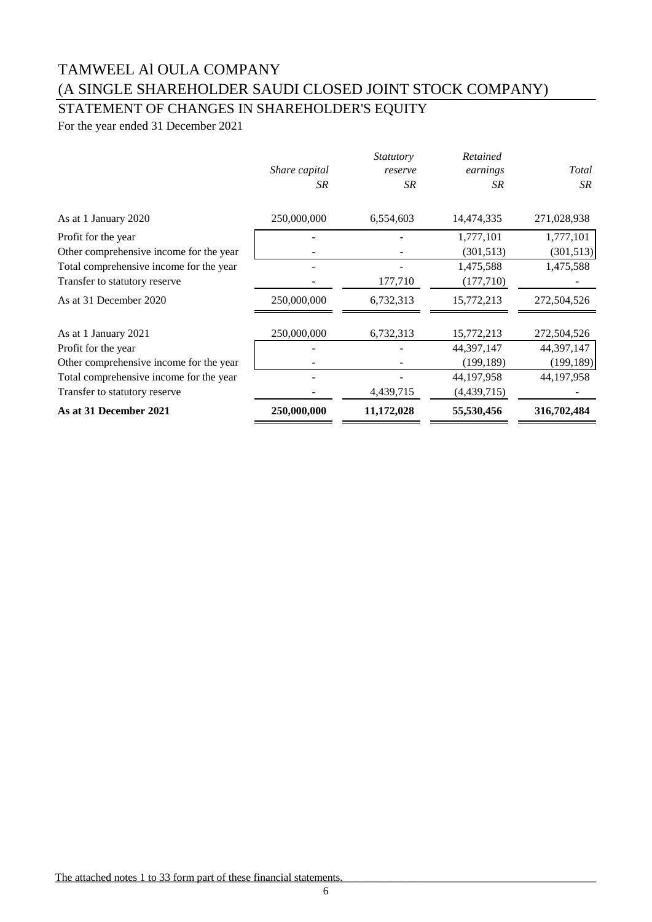## STATEMENT OF CHANGES IN SHAREHOLDER'S EQUITY

For the year ended 31 December 2021

|                                         | Share capital<br>SR. | <i>Statutory</i><br>reserve<br>SR | Retained<br>earnings<br>SR. | Total<br>SR |
|-----------------------------------------|----------------------|-----------------------------------|-----------------------------|-------------|
| As at 1 January 2020                    | 250,000,000          | 6,554,603                         | 14,474,335                  | 271,028,938 |
| Profit for the year                     |                      |                                   | 1,777,101                   | 1,777,101   |
| Other comprehensive income for the year |                      |                                   | (301, 513)                  | (301,513)   |
| Total comprehensive income for the year |                      |                                   | 1,475,588                   | 1,475,588   |
| Transfer to statutory reserve           |                      | 177,710                           | (177,710)                   |             |
| As at 31 December 2020                  | 250,000,000          | 6,732,313                         | 15,772,213                  | 272,504,526 |
| As at 1 January 2021                    | 250,000,000          | 6,732,313                         | 15,772,213                  | 272,504,526 |
| Profit for the year                     |                      |                                   | 44,397,147                  | 44,397,147  |
| Other comprehensive income for the year |                      |                                   | (199, 189)                  | (199, 189)  |
| Total comprehensive income for the year |                      |                                   | 44, 197, 958                | 44,197,958  |
| Transfer to statutory reserve           |                      | 4,439,715                         | (4,439,715)                 |             |
| As at 31 December 2021                  | 250,000,000          | 11,172,028                        | 55,530,456                  | 316,702,484 |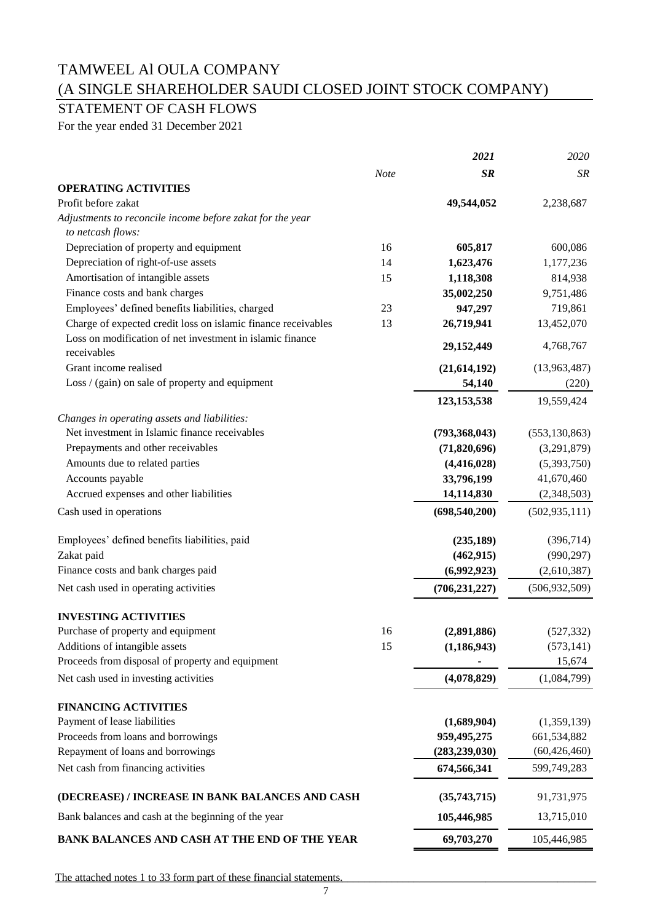### STATEMENT OF CASH FLOWS

For the year ended 31 December 2021

|                                                               |             | 2021            | 2020            |
|---------------------------------------------------------------|-------------|-----------------|-----------------|
|                                                               | <b>Note</b> | <b>SR</b>       | <b>SR</b>       |
| <b>OPERATING ACTIVITIES</b>                                   |             |                 |                 |
| Profit before zakat                                           |             | 49,544,052      | 2,238,687       |
| Adjustments to reconcile income before zakat for the year     |             |                 |                 |
| to netcash flows:                                             |             |                 |                 |
| Depreciation of property and equipment                        | 16          | 605,817         | 600,086         |
| Depreciation of right-of-use assets                           | 14          | 1,623,476       | 1,177,236       |
| Amortisation of intangible assets                             | 15          | 1,118,308       | 814,938         |
| Finance costs and bank charges                                |             | 35,002,250      | 9,751,486       |
| Employees' defined benefits liabilities, charged              | 23          | 947,297         | 719,861         |
| Charge of expected credit loss on islamic finance receivables | 13          | 26,719,941      | 13,452,070      |
| Loss on modification of net investment in islamic finance     |             |                 |                 |
| receivables                                                   |             | 29,152,449      | 4,768,767       |
| Grant income realised                                         |             | (21, 614, 192)  | (13,963,487)    |
| Loss / (gain) on sale of property and equipment               |             | 54,140          | (220)           |
|                                                               |             | 123, 153, 538   | 19,559,424      |
| Changes in operating assets and liabilities:                  |             |                 |                 |
| Net investment in Islamic finance receivables                 |             | (793, 368, 043) | (553, 130, 863) |
| Prepayments and other receivables                             |             | (71, 820, 696)  | (3,291,879)     |
| Amounts due to related parties                                |             | (4,416,028)     | (5,393,750)     |
| Accounts payable                                              |             | 33,796,199      | 41,670,460      |
|                                                               |             |                 |                 |
| Accrued expenses and other liabilities                        |             | 14,114,830      | (2,348,503)     |
| Cash used in operations                                       |             | (698, 540, 200) | (502, 935, 111) |
| Employees' defined benefits liabilities, paid                 |             | (235, 189)      | (396,714)       |
| Zakat paid                                                    |             | (462, 915)      | (990, 297)      |
| Finance costs and bank charges paid                           |             | (6,992,923)     | (2,610,387)     |
| Net cash used in operating activities                         |             | (706, 231, 227) | (506, 932, 509) |
| <b>INVESTING ACTIVITIES</b>                                   |             |                 |                 |
| Purchase of property and equipment                            | 16          | (2,891,886)     | (527, 332)      |
| Additions of intangible assets                                | 15          | (1, 186, 943)   | (573, 141)      |
| Proceeds from disposal of property and equipment              |             |                 | 15,674          |
| Net cash used in investing activities                         |             | (4,078,829)     | (1,084,799)     |
|                                                               |             |                 |                 |
| <b>FINANCING ACTIVITIES</b>                                   |             |                 |                 |
| Payment of lease liabilities                                  |             | (1,689,904)     | (1,359,139)     |
| Proceeds from loans and borrowings                            |             | 959,495,275     | 661,534,882     |
| Repayment of loans and borrowings                             |             | (283, 239, 030) | (60, 426, 460)  |
| Net cash from financing activities                            |             | 674,566,341     | 599,749,283     |
| (DECREASE) / INCREASE IN BANK BALANCES AND CASH               |             | (35,743,715)    | 91,731,975      |
| Bank balances and cash at the beginning of the year           |             | 105,446,985     | 13,715,010      |
| <b>BANK BALANCES AND CASH AT THE END OF THE YEAR</b>          |             | 69,703,270      | 105,446,985     |
|                                                               |             |                 |                 |

The attached notes 1 to 33 form part of these financial statements.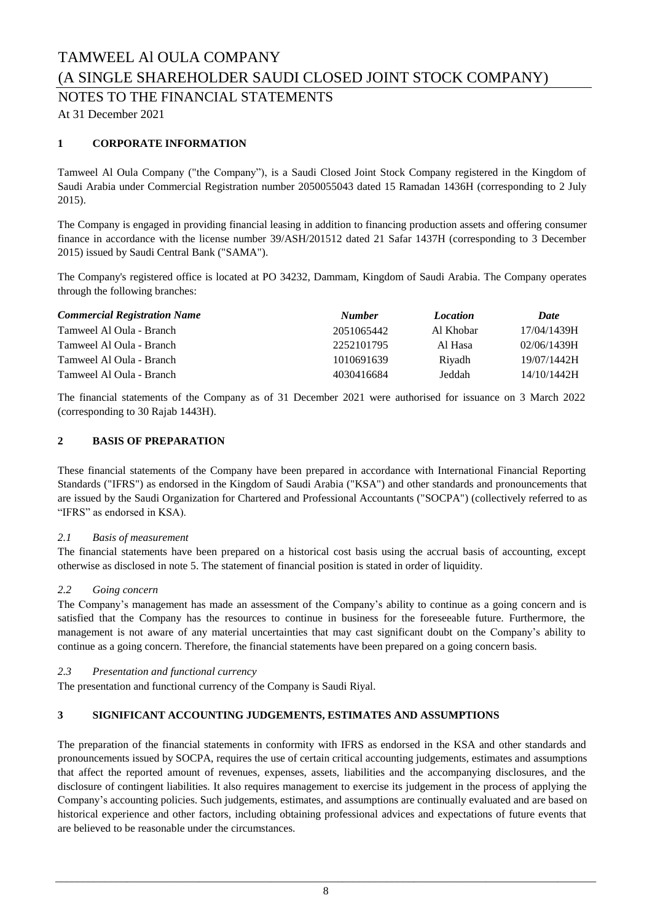NOTES TO THE FINANCIAL STATEMENTS

At 31 December 2021

### **1 CORPORATE INFORMATION**

Tamweel Al Oula Company ("the Company"), is a Saudi Closed Joint Stock Company registered in the Kingdom of Saudi Arabia under Commercial Registration number 2050055043 dated 15 Ramadan 1436H (corresponding to 2 July 2015).

The Company is engaged in providing financial leasing in addition to financing production assets and offering consumer finance in accordance with the license number 39/ASH/201512 dated 21 Safar 1437H (corresponding to 3 December 2015) issued by Saudi Central Bank ("SAMA").

The Company's registered office is located at PO 34232, Dammam, Kingdom of Saudi Arabia. The Company operates through the following branches:

| <b>Commercial Registration Name</b> | <b>Number</b> | <i>Location</i> | <b>Date</b> |
|-------------------------------------|---------------|-----------------|-------------|
| Tamweel Al Oula - Branch            | 2051065442    | Al Khobar       | 17/04/1439H |
| Tamweel Al Oula - Branch            | 2252101795    | Al Hasa         | 02/06/1439H |
| Tamweel Al Oula - Branch            | 1010691639    | Riyadh          | 19/07/1442H |
| Tamweel Al Oula - Branch            | 4030416684    | Jeddah          | 14/10/1442H |

The financial statements of the Company as of 31 December 2021 were authorised for issuance on 3 March 2022 (corresponding to 30 Rajab 1443H).

### **2 BASIS OF PREPARATION**

These financial statements of the Company have been prepared in accordance with International Financial Reporting Standards ("IFRS") as endorsed in the Kingdom of Saudi Arabia ("KSA") and other standards and pronouncements that are issued by the Saudi Organization for Chartered and Professional Accountants ("SOCPA") (collectively referred to as "IFRS" as endorsed in KSA).

### *2.1 Basis of measurement*

The financial statements have been prepared on a historical cost basis using the accrual basis of accounting, except otherwise as disclosed in note 5. The statement of financial position is stated in order of liquidity.

### *2.2 Going concern*

The Company's management has made an assessment of the Company's ability to continue as a going concern and is satisfied that the Company has the resources to continue in business for the foreseeable future. Furthermore, the management is not aware of any material uncertainties that may cast significant doubt on the Company's ability to continue as a going concern. Therefore, the financial statements have been prepared on a going concern basis.

### *2.3 Presentation and functional currency*

The presentation and functional currency of the Company is Saudi Riyal.

### **3 SIGNIFICANT ACCOUNTING JUDGEMENTS, ESTIMATES AND ASSUMPTIONS**

The preparation of the financial statements in conformity with IFRS as endorsed in the KSA and other standards and pronouncements issued by SOCPA, requires the use of certain critical accounting judgements, estimates and assumptions that affect the reported amount of revenues, expenses, assets, liabilities and the accompanying disclosures, and the disclosure of contingent liabilities. It also requires management to exercise its judgement in the process of applying the Company's accounting policies. Such judgements, estimates, and assumptions are continually evaluated and are based on historical experience and other factors, including obtaining professional advices and expectations of future events that are believed to be reasonable under the circumstances.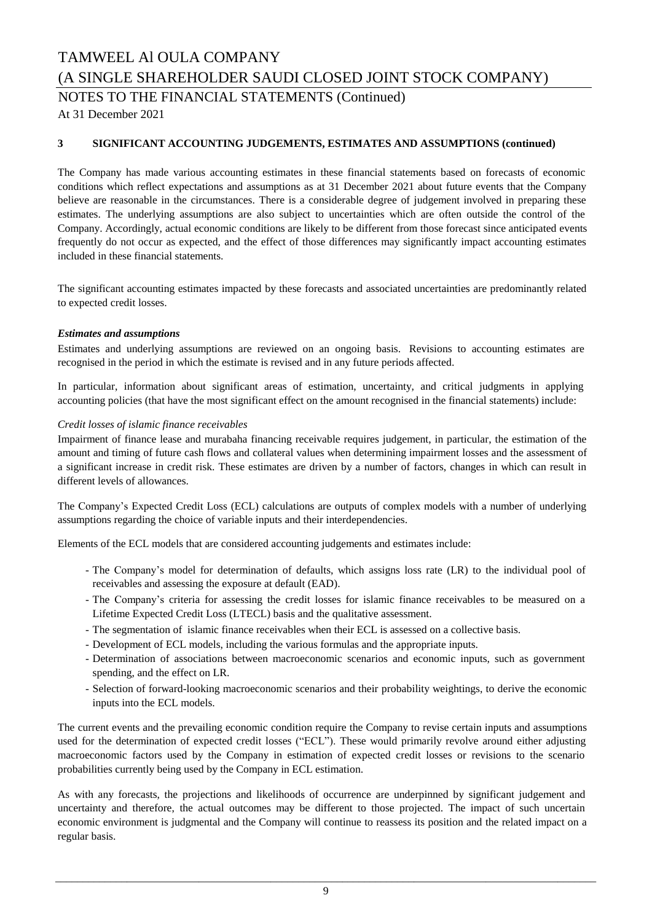NOTES TO THE FINANCIAL STATEMENTS (Continued)

At 31 December 2021

### **3 SIGNIFICANT ACCOUNTING JUDGEMENTS, ESTIMATES AND ASSUMPTIONS (continued)**

The Company has made various accounting estimates in these financial statements based on forecasts of economic conditions which reflect expectations and assumptions as at 31 December 2021 about future events that the Company believe are reasonable in the circumstances. There is a considerable degree of judgement involved in preparing these estimates. The underlying assumptions are also subject to uncertainties which are often outside the control of the Company. Accordingly, actual economic conditions are likely to be different from those forecast since anticipated events frequently do not occur as expected, and the effect of those differences may significantly impact accounting estimates included in these financial statements.

The significant accounting estimates impacted by these forecasts and associated uncertainties are predominantly related to expected credit losses.

### *Estimates and assumptions*

Estimates and underlying assumptions are reviewed on an ongoing basis. Revisions to accounting estimates are recognised in the period in which the estimate is revised and in any future periods affected.

In particular, information about significant areas of estimation, uncertainty, and critical judgments in applying accounting policies (that have the most significant effect on the amount recognised in the financial statements) include:

### *Credit losses of islamic finance receivables*

Impairment of finance lease and murabaha financing receivable requires judgement, in particular, the estimation of the amount and timing of future cash flows and collateral values when determining impairment losses and the assessment of a significant increase in credit risk. These estimates are driven by a number of factors, changes in which can result in different levels of allowances.

The Company's Expected Credit Loss (ECL) calculations are outputs of complex models with a number of underlying assumptions regarding the choice of variable inputs and their interdependencies.

Elements of the ECL models that are considered accounting judgements and estimates include:

- The Company's model for determination of defaults, which assigns loss rate (LR) to the individual pool of receivables and assessing the exposure at default (EAD).
- The Company's criteria for assessing the credit losses for islamic finance receivables to be measured on a Lifetime Expected Credit Loss (LTECL) basis and the qualitative assessment.
- The segmentation of islamic finance receivables when their ECL is assessed on a collective basis.
- Development of ECL models, including the various formulas and the appropriate inputs.
- Determination of associations between macroeconomic scenarios and economic inputs, such as government spending, and the effect on LR.
- Selection of forward-looking macroeconomic scenarios and their probability weightings, to derive the economic inputs into the ECL models.

The current events and the prevailing economic condition require the Company to revise certain inputs and assumptions used for the determination of expected credit losses ("ECL"). These would primarily revolve around either adjusting macroeconomic factors used by the Company in estimation of expected credit losses or revisions to the scenario probabilities currently being used by the Company in ECL estimation.

As with any forecasts, the projections and likelihoods of occurrence are underpinned by significant judgement and uncertainty and therefore, the actual outcomes may be different to those projected. The impact of such uncertain economic environment is judgmental and the Company will continue to reassess its position and the related impact on a regular basis.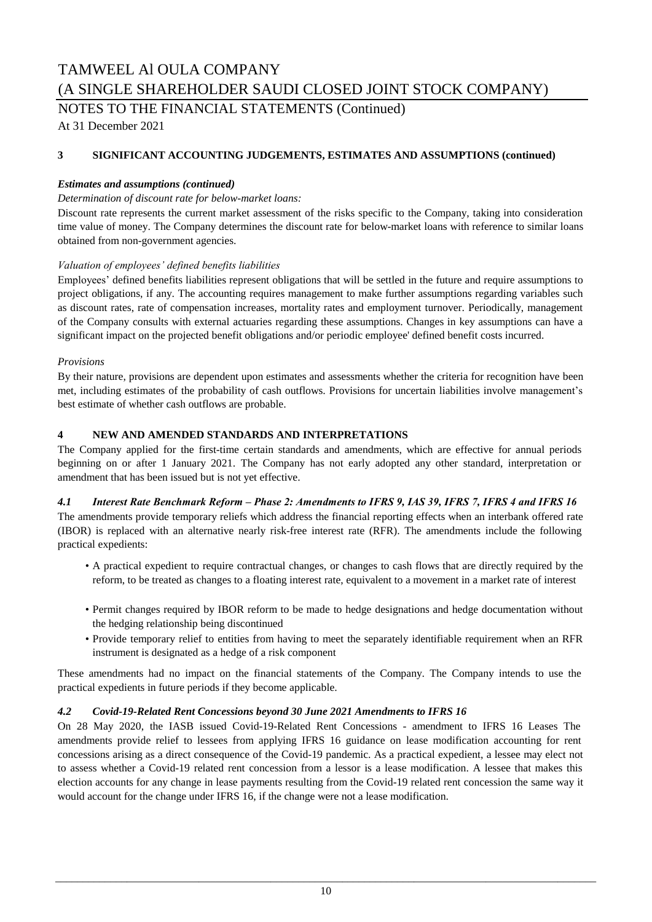NOTES TO THE FINANCIAL STATEMENTS (Continued)

At 31 December 2021

### **3 SIGNIFICANT ACCOUNTING JUDGEMENTS, ESTIMATES AND ASSUMPTIONS (continued)**

### *Estimates and assumptions (continued)*

### *Determination of discount rate for below-market loans:*

Discount rate represents the current market assessment of the risks specific to the Company, taking into consideration time value of money. The Company determines the discount rate for below-market loans with reference to similar loans obtained from non-government agencies.

### *Valuation of employees' defined benefits liabilities*

Employees' defined benefits liabilities represent obligations that will be settled in the future and require assumptions to project obligations, if any. The accounting requires management to make further assumptions regarding variables such as discount rates, rate of compensation increases, mortality rates and employment turnover. Periodically, management of the Company consults with external actuaries regarding these assumptions. Changes in key assumptions can have a significant impact on the projected benefit obligations and/or periodic employee' defined benefit costs incurred.

### *Provisions*

By their nature, provisions are dependent upon estimates and assessments whether the criteria for recognition have been met, including estimates of the probability of cash outflows. Provisions for uncertain liabilities involve management's best estimate of whether cash outflows are probable.

### **4 NEW AND AMENDED STANDARDS AND INTERPRETATIONS**

The Company applied for the first-time certain standards and amendments, which are effective for annual periods beginning on or after 1 January 2021. The Company has not early adopted any other standard, interpretation or amendment that has been issued but is not yet effective.

### *4.1 Interest Rate Benchmark Reform – Phase 2: Amendments to IFRS 9, IAS 39, IFRS 7, IFRS 4 and IFRS 16*

The amendments provide temporary reliefs which address the financial reporting effects when an interbank offered rate (IBOR) is replaced with an alternative nearly risk-free interest rate (RFR). The amendments include the following practical expedients:

- A practical expedient to require contractual changes, or changes to cash flows that are directly required by the reform, to be treated as changes to a floating interest rate, equivalent to a movement in a market rate of interest
- Permit changes required by IBOR reform to be made to hedge designations and hedge documentation without the hedging relationship being discontinued
- Provide temporary relief to entities from having to meet the separately identifiable requirement when an RFR instrument is designated as a hedge of a risk component

These amendments had no impact on the financial statements of the Company. The Company intends to use the practical expedients in future periods if they become applicable.

### *4.2 Covid-19-Related Rent Concessions beyond 30 June 2021 Amendments to IFRS 16*

On 28 May 2020, the IASB issued Covid-19-Related Rent Concessions - amendment to IFRS 16 Leases The amendments provide relief to lessees from applying IFRS 16 guidance on lease modification accounting for rent concessions arising as a direct consequence of the Covid-19 pandemic. As a practical expedient, a lessee may elect not to assess whether a Covid-19 related rent concession from a lessor is a lease modification. A lessee that makes this election accounts for any change in lease payments resulting from the Covid-19 related rent concession the same way it would account for the change under IFRS 16, if the change were not a lease modification.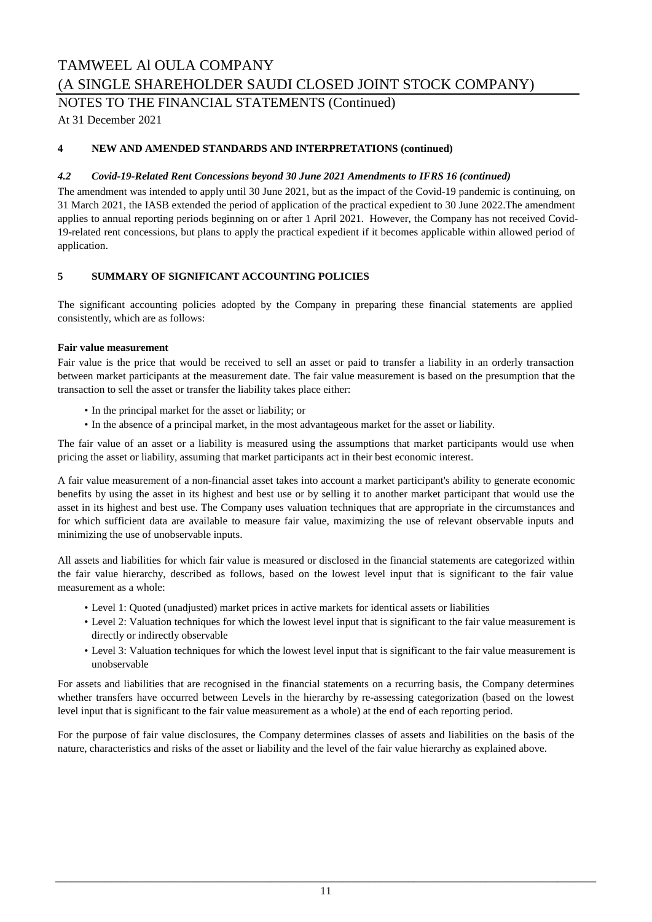### TAMWEEL Al OULA COMPANY

(A SINGLE SHAREHOLDER SAUDI CLOSED JOINT STOCK COMPANY)

NOTES TO THE FINANCIAL STATEMENTS (Continued)

At 31 December 2021

### **4 NEW AND AMENDED STANDARDS AND INTERPRETATIONS (continued)**

### *4.2 Covid-19-Related Rent Concessions beyond 30 June 2021 Amendments to IFRS 16 (continued)*

The amendment was intended to apply until 30 June 2021, but as the impact of the Covid-19 pandemic is continuing, on 31 March 2021, the IASB extended the period of application of the practical expedient to 30 June 2022.The amendment applies to annual reporting periods beginning on or after 1 April 2021. However, the Company has not received Covid-19-related rent concessions, but plans to apply the practical expedient if it becomes applicable within allowed period of application.

### **5 SUMMARY OF SIGNIFICANT ACCOUNTING POLICIES**

The significant accounting policies adopted by the Company in preparing these financial statements are applied consistently, which are as follows:

### **Fair value measurement**

Fair value is the price that would be received to sell an asset or paid to transfer a liability in an orderly transaction between market participants at the measurement date. The fair value measurement is based on the presumption that the transaction to sell the asset or transfer the liability takes place either:

- In the principal market for the asset or liability; or
- In the absence of a principal market, in the most advantageous market for the asset or liability.

The fair value of an asset or a liability is measured using the assumptions that market participants would use when pricing the asset or liability, assuming that market participants act in their best economic interest.

A fair value measurement of a non-financial asset takes into account a market participant's ability to generate economic benefits by using the asset in its highest and best use or by selling it to another market participant that would use the asset in its highest and best use. The Company uses valuation techniques that are appropriate in the circumstances and for which sufficient data are available to measure fair value, maximizing the use of relevant observable inputs and minimizing the use of unobservable inputs.

All assets and liabilities for which fair value is measured or disclosed in the financial statements are categorized within the fair value hierarchy, described as follows, based on the lowest level input that is significant to the fair value measurement as a whole:

- Level 1: Quoted (unadjusted) market prices in active markets for identical assets or liabilities
- Level 2: Valuation techniques for which the lowest level input that is significant to the fair value measurement is directly or indirectly observable
- Level 3: Valuation techniques for which the lowest level input that is significant to the fair value measurement is unobservable

For assets and liabilities that are recognised in the financial statements on a recurring basis, the Company determines whether transfers have occurred between Levels in the hierarchy by re-assessing categorization (based on the lowest level input that is significant to the fair value measurement as a whole) at the end of each reporting period.

For the purpose of fair value disclosures, the Company determines classes of assets and liabilities on the basis of the nature, characteristics and risks of the asset or liability and the level of the fair value hierarchy as explained above.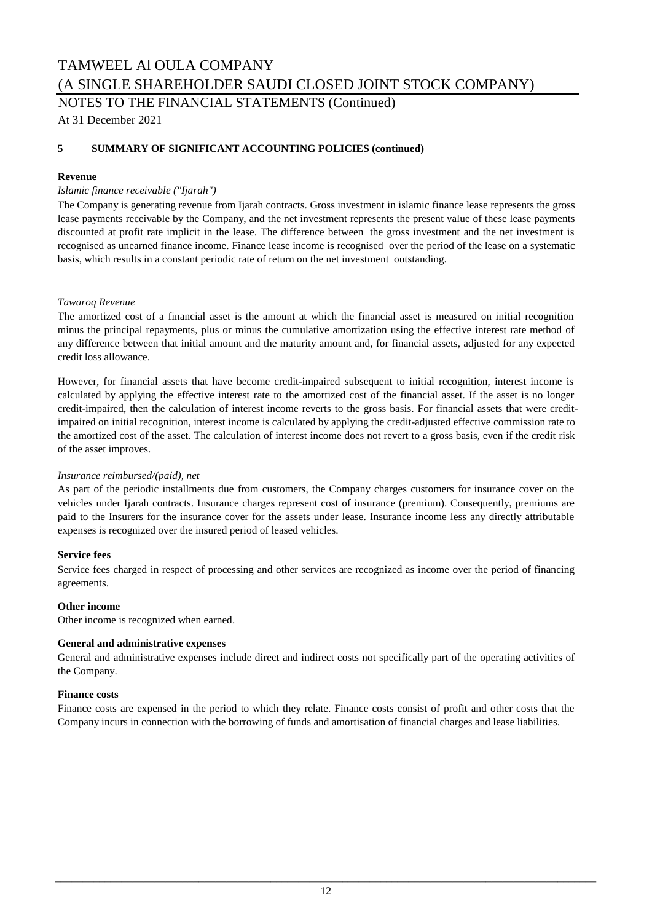NOTES TO THE FINANCIAL STATEMENTS (Continued)

At 31 December 2021

### **5 SUMMARY OF SIGNIFICANT ACCOUNTING POLICIES (continued)**

### **Revenue**

### *Islamic finance receivable ("Ijarah")*

The Company is generating revenue from Ijarah contracts. Gross investment in islamic finance lease represents the gross lease payments receivable by the Company, and the net investment represents the present value of these lease payments discounted at profit rate implicit in the lease. The difference between the gross investment and the net investment is recognised as unearned finance income. Finance lease income is recognised over the period of the lease on a systematic basis, which results in a constant periodic rate of return on the net investment outstanding.

#### *Tawaroq Revenue*

The amortized cost of a financial asset is the amount at which the financial asset is measured on initial recognition minus the principal repayments, plus or minus the cumulative amortization using the effective interest rate method of any difference between that initial amount and the maturity amount and, for financial assets, adjusted for any expected credit loss allowance.

However, for financial assets that have become credit-impaired subsequent to initial recognition, interest income is calculated by applying the effective interest rate to the amortized cost of the financial asset. If the asset is no longer credit-impaired, then the calculation of interest income reverts to the gross basis. For financial assets that were creditimpaired on initial recognition, interest income is calculated by applying the credit-adjusted effective commission rate to the amortized cost of the asset. The calculation of interest income does not revert to a gross basis, even if the credit risk of the asset improves.

### *Insurance reimbursed/(paid), net*

As part of the periodic installments due from customers, the Company charges customers for insurance cover on the vehicles under Ijarah contracts. Insurance charges represent cost of insurance (premium). Consequently, premiums are paid to the Insurers for the insurance cover for the assets under lease. Insurance income less any directly attributable expenses is recognized over the insured period of leased vehicles.

#### **Service fees**

Service fees charged in respect of processing and other services are recognized as income over the period of financing agreements.

#### **Other income**

Other income is recognized when earned.

### **General and administrative expenses**

General and administrative expenses include direct and indirect costs not specifically part of the operating activities of the Company.

#### **Finance costs**

Finance costs are expensed in the period to which they relate. Finance costs consist of profit and other costs that the Company incurs in connection with the borrowing of funds and amortisation of financial charges and lease liabilities.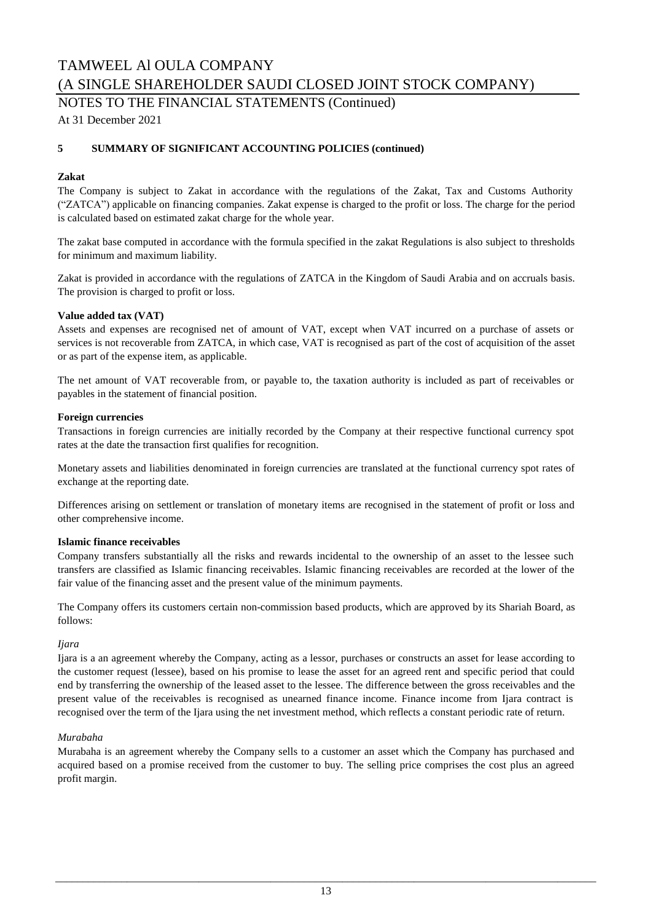NOTES TO THE FINANCIAL STATEMENTS (Continued)

At 31 December 2021

### **5 SUMMARY OF SIGNIFICANT ACCOUNTING POLICIES (continued)**

### **Zakat**

The Company is subject to Zakat in accordance with the regulations of the Zakat, Tax and Customs Authority ("ZATCA") applicable on financing companies. Zakat expense is charged to the profit or loss. The charge for the period is calculated based on estimated zakat charge for the whole year.

The zakat base computed in accordance with the formula specified in the zakat Regulations is also subject to thresholds for minimum and maximum liability.

Zakat is provided in accordance with the regulations of ZATCA in the Kingdom of Saudi Arabia and on accruals basis. The provision is charged to profit or loss.

### **Value added tax (VAT)**

Assets and expenses are recognised net of amount of VAT, except when VAT incurred on a purchase of assets or services is not recoverable from ZATCA, in which case, VAT is recognised as part of the cost of acquisition of the asset or as part of the expense item, as applicable.

The net amount of VAT recoverable from, or payable to, the taxation authority is included as part of receivables or payables in the statement of financial position.

#### **Foreign currencies**

Transactions in foreign currencies are initially recorded by the Company at their respective functional currency spot rates at the date the transaction first qualifies for recognition.

Monetary assets and liabilities denominated in foreign currencies are translated at the functional currency spot rates of exchange at the reporting date.

Differences arising on settlement or translation of monetary items are recognised in the statement of profit or loss and other comprehensive income.

#### **Islamic finance receivables**

Company transfers substantially all the risks and rewards incidental to the ownership of an asset to the lessee such transfers are classified as Islamic financing receivables. Islamic financing receivables are recorded at the lower of the fair value of the financing asset and the present value of the minimum payments.

The Company offers its customers certain non-commission based products, which are approved by its Shariah Board, as follows:

#### *Ijara*

Ijara is a an agreement whereby the Company, acting as a lessor, purchases or constructs an asset for lease according to the customer request (lessee), based on his promise to lease the asset for an agreed rent and specific period that could end by transferring the ownership of the leased asset to the lessee. The difference between the gross receivables and the present value of the receivables is recognised as unearned finance income. Finance income from Ijara contract is recognised over the term of the Ijara using the net investment method, which reflects a constant periodic rate of return.

#### *Murabaha*

Murabaha is an agreement whereby the Company sells to a customer an asset which the Company has purchased and acquired based on a promise received from the customer to buy. The selling price comprises the cost plus an agreed profit margin.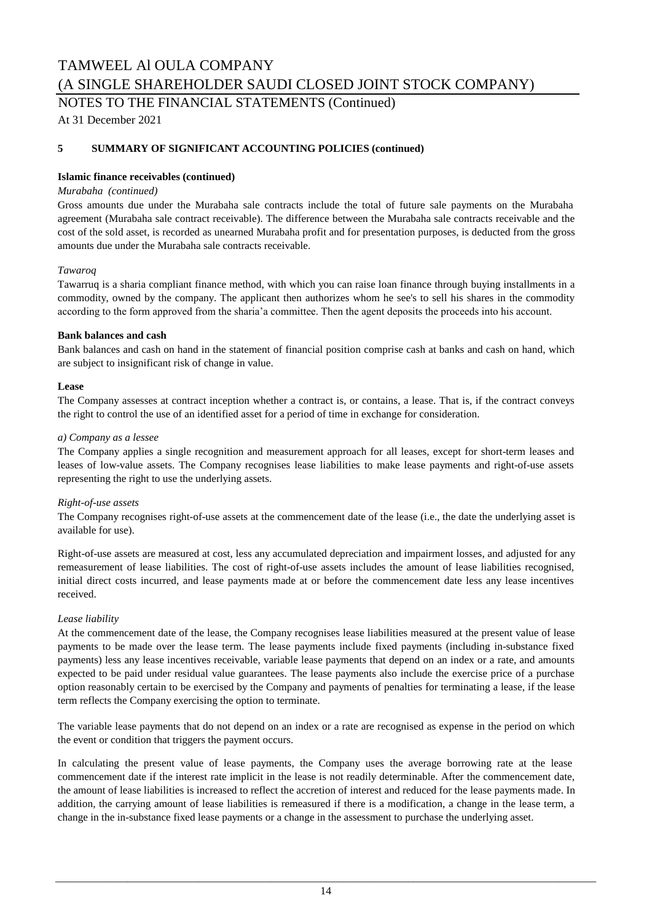NOTES TO THE FINANCIAL STATEMENTS (Continued)

At 31 December 2021

### **5 SUMMARY OF SIGNIFICANT ACCOUNTING POLICIES (continued)**

### **Islamic finance receivables (continued)**

### *Murabaha (continued)*

Gross amounts due under the Murabaha sale contracts include the total of future sale payments on the Murabaha agreement (Murabaha sale contract receivable). The difference between the Murabaha sale contracts receivable and the cost of the sold asset, is recorded as unearned Murabaha profit and for presentation purposes, is deducted from the gross amounts due under the Murabaha sale contracts receivable.

### *Tawaroq*

Tawarruq is a sharia compliant finance method, with which you can raise loan finance through buying installments in a commodity, owned by the company. The applicant then authorizes whom he see's to sell his shares in the commodity according to the form approved from the sharia'a committee. Then the agent deposits the proceeds into his account.

### **Bank balances and cash**

Bank balances and cash on hand in the statement of financial position comprise cash at banks and cash on hand, which are subject to insignificant risk of change in value.

### **Lease**

The Company assesses at contract inception whether a contract is, or contains, a lease. That is, if the contract conveys the right to control the use of an identified asset for a period of time in exchange for consideration.

### *a) Company as a lessee*

The Company applies a single recognition and measurement approach for all leases, except for short-term leases and leases of low-value assets. The Company recognises lease liabilities to make lease payments and right-of-use assets representing the right to use the underlying assets.

#### *Right-of-use assets*

The Company recognises right-of-use assets at the commencement date of the lease (i.e., the date the underlying asset is available for use).

Right-of-use assets are measured at cost, less any accumulated depreciation and impairment losses, and adjusted for any remeasurement of lease liabilities. The cost of right-of-use assets includes the amount of lease liabilities recognised, initial direct costs incurred, and lease payments made at or before the commencement date less any lease incentives received.

### *Lease liability*

At the commencement date of the lease, the Company recognises lease liabilities measured at the present value of lease payments to be made over the lease term. The lease payments include fixed payments (including in-substance fixed payments) less any lease incentives receivable, variable lease payments that depend on an index or a rate, and amounts expected to be paid under residual value guarantees. The lease payments also include the exercise price of a purchase option reasonably certain to be exercised by the Company and payments of penalties for terminating a lease, if the lease term reflects the Company exercising the option to terminate.

The variable lease payments that do not depend on an index or a rate are recognised as expense in the period on which the event or condition that triggers the payment occurs.

In calculating the present value of lease payments, the Company uses the average borrowing rate at the lease commencement date if the interest rate implicit in the lease is not readily determinable. After the commencement date, the amount of lease liabilities is increased to reflect the accretion of interest and reduced for the lease payments made. In addition, the carrying amount of lease liabilities is remeasured if there is a modification, a change in the lease term, a change in the in-substance fixed lease payments or a change in the assessment to purchase the underlying asset.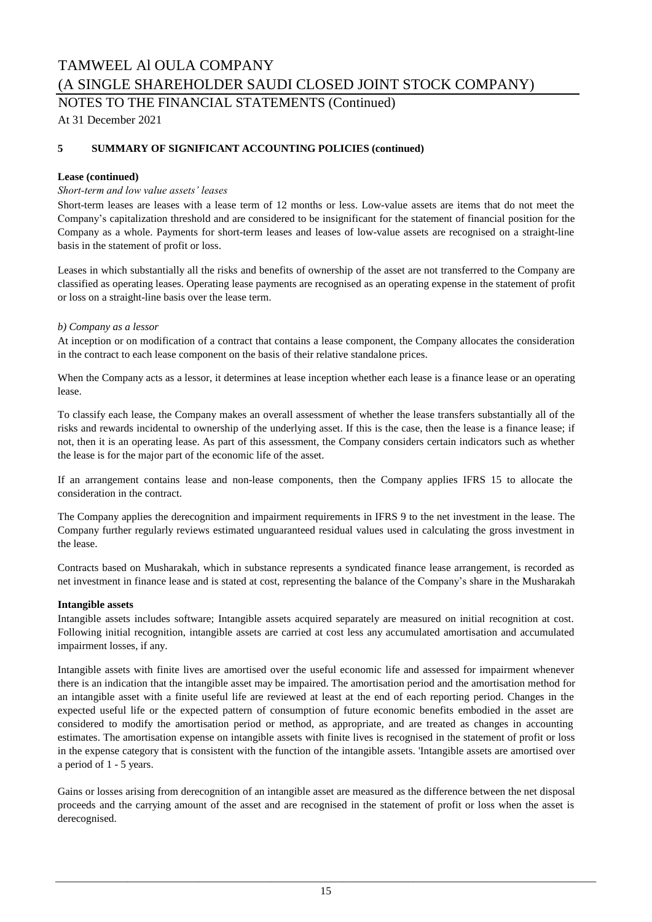NOTES TO THE FINANCIAL STATEMENTS (Continued)

At 31 December 2021

### **5 SUMMARY OF SIGNIFICANT ACCOUNTING POLICIES (continued)**

### **Lease (continued)**

### *Short-term and low value assets' leases*

Short-term leases are leases with a lease term of 12 months or less. Low-value assets are items that do not meet the Company's capitalization threshold and are considered to be insignificant for the statement of financial position for the Company as a whole. Payments for short-term leases and leases of low-value assets are recognised on a straight-line basis in the statement of profit or loss.

Leases in which substantially all the risks and benefits of ownership of the asset are not transferred to the Company are classified as operating leases. Operating lease payments are recognised as an operating expense in the statement of profit or loss on a straight-line basis over the lease term.

### *b) Company as a lessor*

At inception or on modification of a contract that contains a lease component, the Company allocates the consideration in the contract to each lease component on the basis of their relative standalone prices.

When the Company acts as a lessor, it determines at lease inception whether each lease is a finance lease or an operating lease.

To classify each lease, the Company makes an overall assessment of whether the lease transfers substantially all of the risks and rewards incidental to ownership of the underlying asset. If this is the case, then the lease is a finance lease; if not, then it is an operating lease. As part of this assessment, the Company considers certain indicators such as whether the lease is for the major part of the economic life of the asset.

If an arrangement contains lease and non-lease components, then the Company applies IFRS 15 to allocate the consideration in the contract.

The Company applies the derecognition and impairment requirements in IFRS 9 to the net investment in the lease. The Company further regularly reviews estimated unguaranteed residual values used in calculating the gross investment in the lease.

Contracts based on Musharakah, which in substance represents a syndicated finance lease arrangement, is recorded as net investment in finance lease and is stated at cost, representing the balance of the Company's share in the Musharakah

#### **Intangible assets**

Intangible assets includes software; Intangible assets acquired separately are measured on initial recognition at cost. Following initial recognition, intangible assets are carried at cost less any accumulated amortisation and accumulated impairment losses, if any.

Intangible assets with finite lives are amortised over the useful economic life and assessed for impairment whenever there is an indication that the intangible asset may be impaired. The amortisation period and the amortisation method for an intangible asset with a finite useful life are reviewed at least at the end of each reporting period. Changes in the expected useful life or the expected pattern of consumption of future economic benefits embodied in the asset are considered to modify the amortisation period or method, as appropriate, and are treated as changes in accounting estimates. The amortisation expense on intangible assets with finite lives is recognised in the statement of profit or loss in the expense category that is consistent with the function of the intangible assets. 'Intangible assets are amortised over a period of 1 - 5 years.

Gains or losses arising from derecognition of an intangible asset are measured as the difference between the net disposal proceeds and the carrying amount of the asset and are recognised in the statement of profit or loss when the asset is derecognised.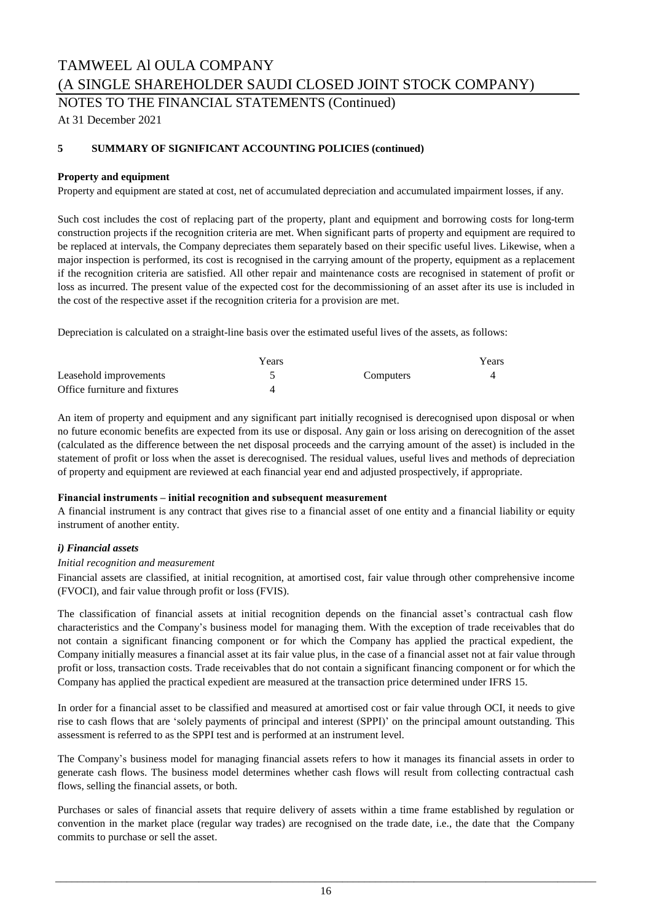NOTES TO THE FINANCIAL STATEMENTS (Continued)

At 31 December 2021

### **5 SUMMARY OF SIGNIFICANT ACCOUNTING POLICIES (continued)**

### **Property and equipment**

Property and equipment are stated at cost, net of accumulated depreciation and accumulated impairment losses, if any.

Such cost includes the cost of replacing part of the property, plant and equipment and borrowing costs for long-term construction projects if the recognition criteria are met. When significant parts of property and equipment are required to be replaced at intervals, the Company depreciates them separately based on their specific useful lives. Likewise, when a major inspection is performed, its cost is recognised in the carrying amount of the property, equipment as a replacement if the recognition criteria are satisfied. All other repair and maintenance costs are recognised in statement of profit or loss as incurred. The present value of the expected cost for the decommissioning of an asset after its use is included in the cost of the respective asset if the recognition criteria for a provision are met.

Depreciation is calculated on a straight-line basis over the estimated useful lives of the assets, as follows:

|                               | Years |                  | Years |
|-------------------------------|-------|------------------|-------|
| Leasehold improvements        |       | <b>Computers</b> |       |
| Office furniture and fixtures |       |                  |       |

An item of property and equipment and any significant part initially recognised is derecognised upon disposal or when no future economic benefits are expected from its use or disposal. Any gain or loss arising on derecognition of the asset (calculated as the difference between the net disposal proceeds and the carrying amount of the asset) is included in the statement of profit or loss when the asset is derecognised. The residual values, useful lives and methods of depreciation of property and equipment are reviewed at each financial year end and adjusted prospectively, if appropriate.

#### **Financial instruments – initial recognition and subsequent measurement**

A financial instrument is any contract that gives rise to a financial asset of one entity and a financial liability or equity instrument of another entity.

### *i) Financial assets*

#### *Initial recognition and measurement*

Financial assets are classified, at initial recognition, at amortised cost, fair value through other comprehensive income (FVOCI), and fair value through profit or loss (FVIS).

The classification of financial assets at initial recognition depends on the financial asset's contractual cash flow characteristics and the Company's business model for managing them. With the exception of trade receivables that do not contain a significant financing component or for which the Company has applied the practical expedient, the Company initially measures a financial asset at its fair value plus, in the case of a financial asset not at fair value through profit or loss, transaction costs. Trade receivables that do not contain a significant financing component or for which the Company has applied the practical expedient are measured at the transaction price determined under IFRS 15.

In order for a financial asset to be classified and measured at amortised cost or fair value through OCI, it needs to give rise to cash flows that are 'solely payments of principal and interest (SPPI)' on the principal amount outstanding. This assessment is referred to as the SPPI test and is performed at an instrument level.

The Company's business model for managing financial assets refers to how it manages its financial assets in order to generate cash flows. The business model determines whether cash flows will result from collecting contractual cash flows, selling the financial assets, or both.

Purchases or sales of financial assets that require delivery of assets within a time frame established by regulation or convention in the market place (regular way trades) are recognised on the trade date, i.e., the date that the Company commits to purchase or sell the asset.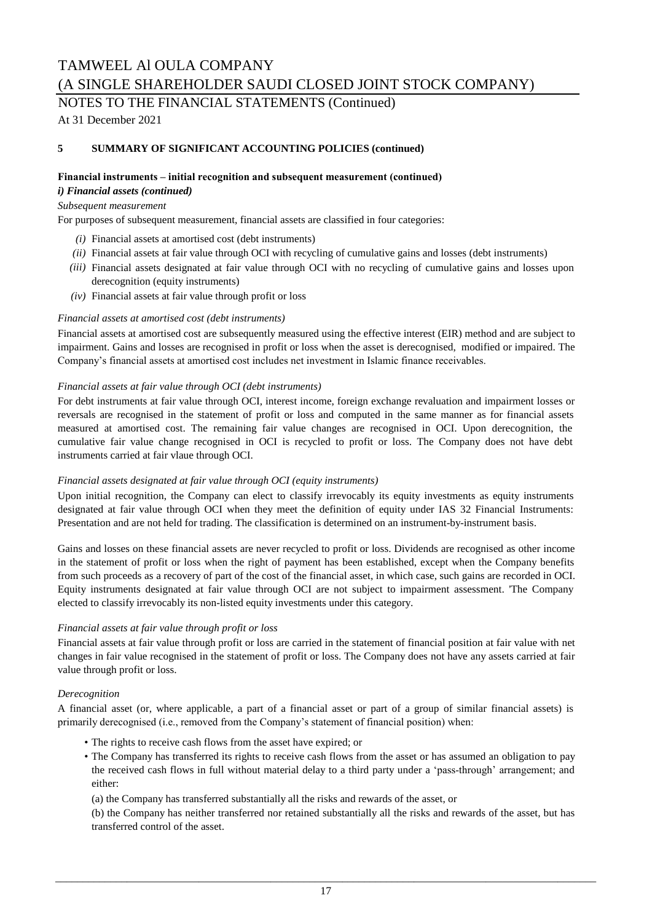NOTES TO THE FINANCIAL STATEMENTS (Continued)

At 31 December 2021

### **5 SUMMARY OF SIGNIFICANT ACCOUNTING POLICIES (continued)**

### **Financial instruments – initial recognition and subsequent measurement (continued)**

### *i) Financial assets (continued)*

### *Subsequent measurement*

For purposes of subsequent measurement, financial assets are classified in four categories:

- *(i)* Financial assets at amortised cost (debt instruments)
- *(ii)* Financial assets at fair value through OCI with recycling of cumulative gains and losses (debt instruments)
- *(iii)* Financial assets designated at fair value through OCI with no recycling of cumulative gains and losses upon derecognition (equity instruments)
- *(iv)* Financial assets at fair value through profit or loss

### *Financial assets at amortised cost (debt instruments)*

Financial assets at amortised cost are subsequently measured using the effective interest (EIR) method and are subject to impairment. Gains and losses are recognised in profit or loss when the asset is derecognised, modified or impaired. The Company's financial assets at amortised cost includes net investment in Islamic finance receivables.

### *Financial assets at fair value through OCI (debt instruments)*

For debt instruments at fair value through OCI, interest income, foreign exchange revaluation and impairment losses or reversals are recognised in the statement of profit or loss and computed in the same manner as for financial assets measured at amortised cost. The remaining fair value changes are recognised in OCI. Upon derecognition, the cumulative fair value change recognised in OCI is recycled to profit or loss. The Company does not have debt instruments carried at fair vlaue through OCI.

### *Financial assets designated at fair value through OCI (equity instruments)*

Upon initial recognition, the Company can elect to classify irrevocably its equity investments as equity instruments designated at fair value through OCI when they meet the definition of equity under IAS 32 Financial Instruments: Presentation and are not held for trading. The classification is determined on an instrument-by-instrument basis.

Gains and losses on these financial assets are never recycled to profit or loss. Dividends are recognised as other income in the statement of profit or loss when the right of payment has been established, except when the Company benefits from such proceeds as a recovery of part of the cost of the financial asset, in which case, such gains are recorded in OCI. Equity instruments designated at fair value through OCI are not subject to impairment assessment. 'The Company elected to classify irrevocably its non-listed equity investments under this category.

### *Financial assets at fair value through profit or loss*

Financial assets at fair value through profit or loss are carried in the statement of financial position at fair value with net changes in fair value recognised in the statement of profit or loss. The Company does not have any assets carried at fair value through profit or loss.

### *Derecognition*

A financial asset (or, where applicable, a part of a financial asset or part of a group of similar financial assets) is primarily derecognised (i.e., removed from the Company's statement of financial position) when:

- The rights to receive cash flows from the asset have expired; or
- The Company has transferred its rights to receive cash flows from the asset or has assumed an obligation to pay the received cash flows in full without material delay to a third party under a 'pass-through' arrangement; and either:

(a) the Company has transferred substantially all the risks and rewards of the asset, or

(b) the Company has neither transferred nor retained substantially all the risks and rewards of the asset, but has transferred control of the asset.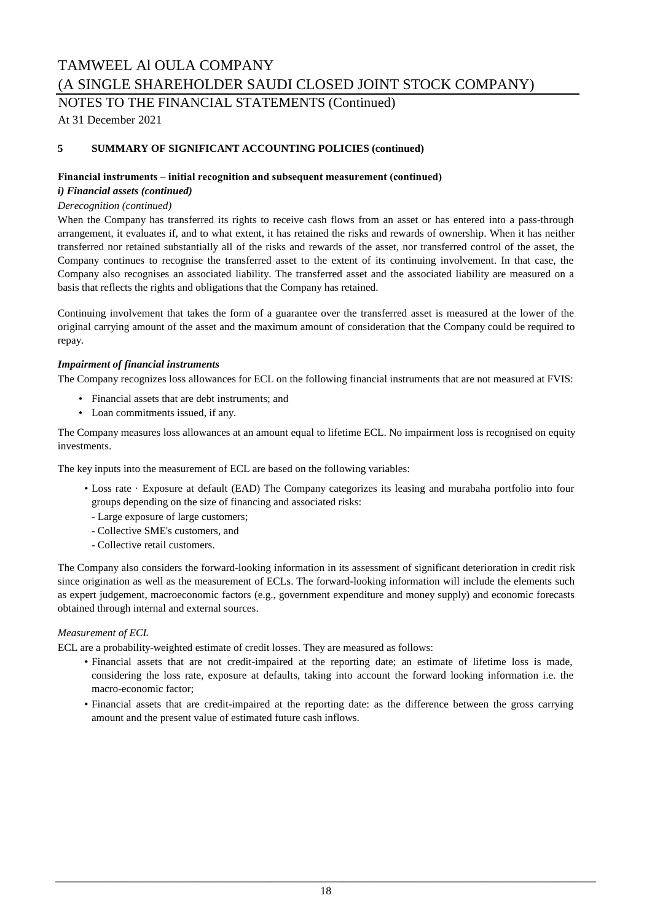NOTES TO THE FINANCIAL STATEMENTS (Continued)

At 31 December 2021

### **5 SUMMARY OF SIGNIFICANT ACCOUNTING POLICIES (continued)**

### **Financial instruments – initial recognition and subsequent measurement (continued)**

### *i) Financial assets (continued)*

### *Derecognition (continued)*

When the Company has transferred its rights to receive cash flows from an asset or has entered into a pass-through arrangement, it evaluates if, and to what extent, it has retained the risks and rewards of ownership. When it has neither transferred nor retained substantially all of the risks and rewards of the asset, nor transferred control of the asset, the Company continues to recognise the transferred asset to the extent of its continuing involvement. In that case, the Company also recognises an associated liability. The transferred asset and the associated liability are measured on a basis that reflects the rights and obligations that the Company has retained.

Continuing involvement that takes the form of a guarantee over the transferred asset is measured at the lower of the original carrying amount of the asset and the maximum amount of consideration that the Company could be required to repay.

### *Impairment of financial instruments*

The Company recognizes loss allowances for ECL on the following financial instruments that are not measured at FVIS:

- Financial assets that are debt instruments; and
- Loan commitments issued, if any.

The Company measures loss allowances at an amount equal to lifetime ECL. No impairment loss is recognised on equity investments.

The key inputs into the measurement of ECL are based on the following variables:

- Loss rate · Exposure at default (EAD) The Company categorizes its leasing and murabaha portfolio into four groups depending on the size of financing and associated risks:
- Large exposure of large customers;
- Collective SME's customers, and
- Collective retail customers.

The Company also considers the forward-looking information in its assessment of significant deterioration in credit risk since origination as well as the measurement of ECLs. The forward-looking information will include the elements such as expert judgement, macroeconomic factors (e.g., government expenditure and money supply) and economic forecasts obtained through internal and external sources.

### *Measurement of ECL*

ECL are a probability-weighted estimate of credit losses. They are measured as follows:

- Financial assets that are not credit-impaired at the reporting date; an estimate of lifetime loss is made, considering the loss rate, exposure at defaults, taking into account the forward looking information i.e. the macro-economic factor;
- Financial assets that are credit-impaired at the reporting date: as the difference between the gross carrying amount and the present value of estimated future cash inflows.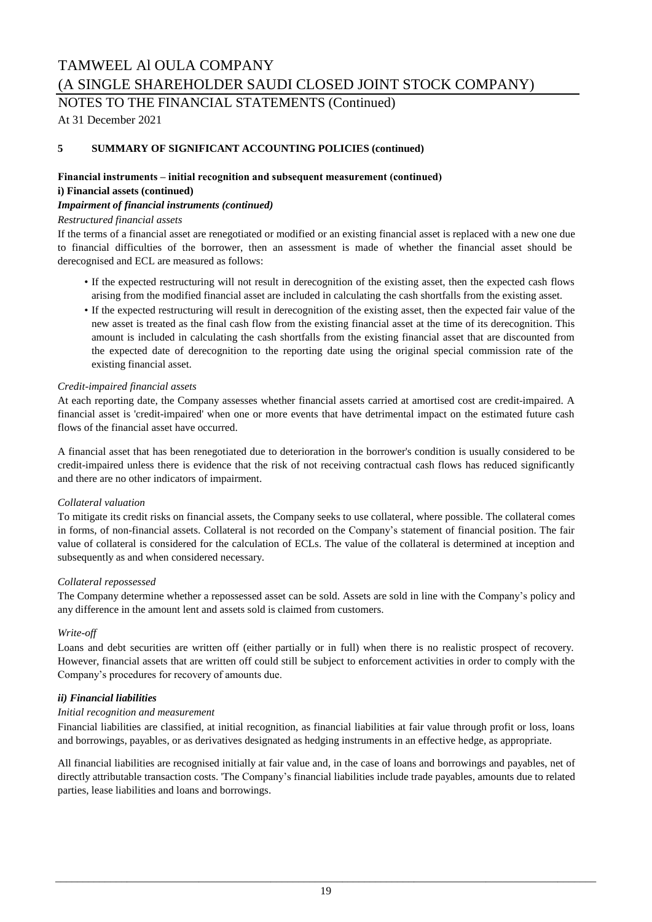NOTES TO THE FINANCIAL STATEMENTS (Continued)

At 31 December 2021

### **5 SUMMARY OF SIGNIFICANT ACCOUNTING POLICIES (continued)**

### **Financial instruments – initial recognition and subsequent measurement (continued) i) Financial assets (continued)**

### *Impairment of financial instruments (continued)*

### *Restructured financial assets*

If the terms of a financial asset are renegotiated or modified or an existing financial asset is replaced with a new one due to financial difficulties of the borrower, then an assessment is made of whether the financial asset should be derecognised and ECL are measured as follows:

- If the expected restructuring will not result in derecognition of the existing asset, then the expected cash flows arising from the modified financial asset are included in calculating the cash shortfalls from the existing asset.
- If the expected restructuring will result in derecognition of the existing asset, then the expected fair value of the new asset is treated as the final cash flow from the existing financial asset at the time of its derecognition. This amount is included in calculating the cash shortfalls from the existing financial asset that are discounted from the expected date of derecognition to the reporting date using the original special commission rate of the existing financial asset.

#### *Credit-impaired financial assets*

At each reporting date, the Company assesses whether financial assets carried at amortised cost are credit-impaired. A financial asset is 'credit-impaired' when one or more events that have detrimental impact on the estimated future cash flows of the financial asset have occurred.

A financial asset that has been renegotiated due to deterioration in the borrower's condition is usually considered to be credit-impaired unless there is evidence that the risk of not receiving contractual cash flows has reduced significantly and there are no other indicators of impairment.

### *Collateral valuation*

To mitigate its credit risks on financial assets, the Company seeks to use collateral, where possible. The collateral comes in forms, of non-financial assets. Collateral is not recorded on the Company's statement of financial position. The fair value of collateral is considered for the calculation of ECLs. The value of the collateral is determined at inception and subsequently as and when considered necessary.

### *Collateral repossessed*

The Company determine whether a repossessed asset can be sold. Assets are sold in line with the Company's policy and any difference in the amount lent and assets sold is claimed from customers.

#### *Write-off*

Loans and debt securities are written off (either partially or in full) when there is no realistic prospect of recovery. However, financial assets that are written off could still be subject to enforcement activities in order to comply with the Company's procedures for recovery of amounts due.

### *ii) Financial liabilities*

#### *Initial recognition and measurement*

Financial liabilities are classified, at initial recognition, as financial liabilities at fair value through profit or loss, loans and borrowings, payables, or as derivatives designated as hedging instruments in an effective hedge, as appropriate.

All financial liabilities are recognised initially at fair value and, in the case of loans and borrowings and payables, net of directly attributable transaction costs. 'The Company's financial liabilities include trade payables, amounts due to related parties, lease liabilities and loans and borrowings.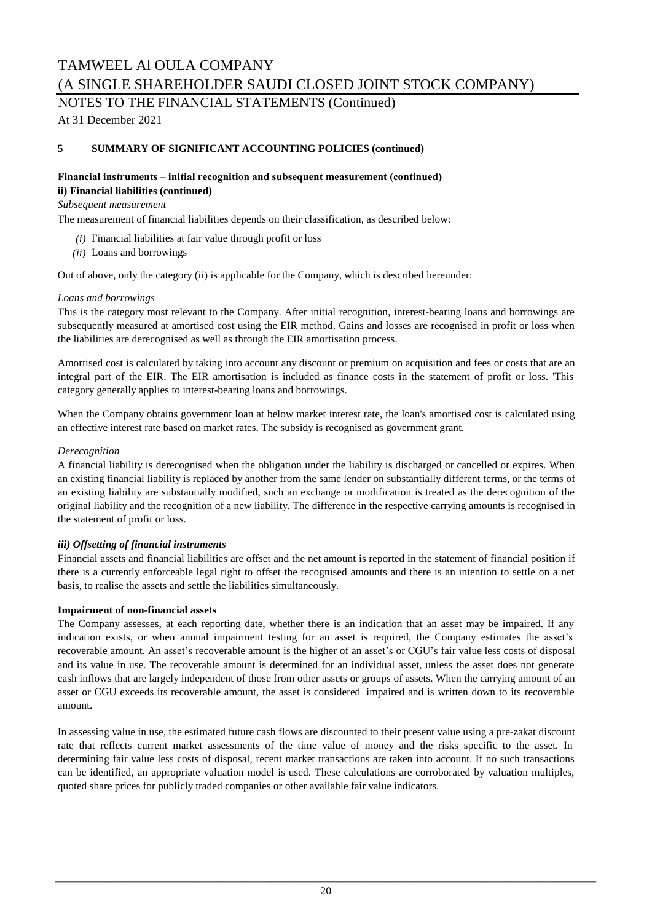NOTES TO THE FINANCIAL STATEMENTS (Continued)

At 31 December 2021

### **5 SUMMARY OF SIGNIFICANT ACCOUNTING POLICIES (continued)**

### **Financial instruments – initial recognition and subsequent measurement (continued) ii) Financial liabilities (continued)**

### *Subsequent measurement*

The measurement of financial liabilities depends on their classification, as described below:

- *(i)* Financial liabilities at fair value through profit or loss
- *(ii)* Loans and borrowings

Out of above, only the category (ii) is applicable for the Company, which is described hereunder:

### *Loans and borrowings*

This is the category most relevant to the Company. After initial recognition, interest-bearing loans and borrowings are subsequently measured at amortised cost using the EIR method. Gains and losses are recognised in profit or loss when the liabilities are derecognised as well as through the EIR amortisation process.

Amortised cost is calculated by taking into account any discount or premium on acquisition and fees or costs that are an integral part of the EIR. The EIR amortisation is included as finance costs in the statement of profit or loss. 'This category generally applies to interest-bearing loans and borrowings.

When the Company obtains government loan at below market interest rate, the loan's amortised cost is calculated using an effective interest rate based on market rates. The subsidy is recognised as government grant.

### *Derecognition*

A financial liability is derecognised when the obligation under the liability is discharged or cancelled or expires. When an existing financial liability is replaced by another from the same lender on substantially different terms, or the terms of an existing liability are substantially modified, such an exchange or modification is treated as the derecognition of the original liability and the recognition of a new liability. The difference in the respective carrying amounts is recognised in the statement of profit or loss.

### *iii) Offsetting of financial instruments*

Financial assets and financial liabilities are offset and the net amount is reported in the statement of financial position if there is a currently enforceable legal right to offset the recognised amounts and there is an intention to settle on a net basis, to realise the assets and settle the liabilities simultaneously.

### **Impairment of non-financial assets**

The Company assesses, at each reporting date, whether there is an indication that an asset may be impaired. If any indication exists, or when annual impairment testing for an asset is required, the Company estimates the asset's recoverable amount. An asset's recoverable amount is the higher of an asset's or CGU's fair value less costs of disposal and its value in use. The recoverable amount is determined for an individual asset, unless the asset does not generate cash inflows that are largely independent of those from other assets or groups of assets. When the carrying amount of an asset or CGU exceeds its recoverable amount, the asset is considered impaired and is written down to its recoverable amount.

In assessing value in use, the estimated future cash flows are discounted to their present value using a pre-zakat discount rate that reflects current market assessments of the time value of money and the risks specific to the asset. In determining fair value less costs of disposal, recent market transactions are taken into account. If no such transactions can be identified, an appropriate valuation model is used. These calculations are corroborated by valuation multiples, quoted share prices for publicly traded companies or other available fair value indicators.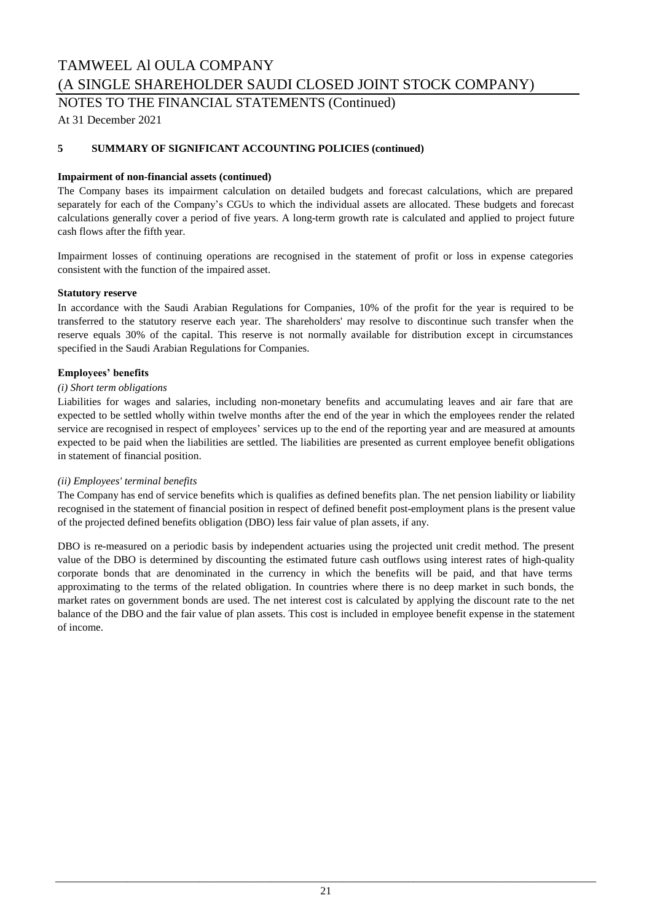### TAMWEEL Al OULA COMPANY

(A SINGLE SHAREHOLDER SAUDI CLOSED JOINT STOCK COMPANY)

NOTES TO THE FINANCIAL STATEMENTS (Continued)

At 31 December 2021

### **5 SUMMARY OF SIGNIFICANT ACCOUNTING POLICIES (continued)**

### **Impairment of non-financial assets (continued)**

The Company bases its impairment calculation on detailed budgets and forecast calculations, which are prepared separately for each of the Company's CGUs to which the individual assets are allocated. These budgets and forecast calculations generally cover a period of five years. A long-term growth rate is calculated and applied to project future cash flows after the fifth year.

Impairment losses of continuing operations are recognised in the statement of profit or loss in expense categories consistent with the function of the impaired asset.

#### **Statutory reserve**

In accordance with the Saudi Arabian Regulations for Companies, 10% of the profit for the year is required to be transferred to the statutory reserve each year. The shareholders' may resolve to discontinue such transfer when the reserve equals 30% of the capital. This reserve is not normally available for distribution except in circumstances specified in the Saudi Arabian Regulations for Companies.

### **Employees' benefits**

### *(i) Short term obligations*

Liabilities for wages and salaries, including non-monetary benefits and accumulating leaves and air fare that are expected to be settled wholly within twelve months after the end of the year in which the employees render the related service are recognised in respect of employees' services up to the end of the reporting year and are measured at amounts expected to be paid when the liabilities are settled. The liabilities are presented as current employee benefit obligations in statement of financial position.

### *(ii) Employees' terminal benefits*

The Company has end of service benefits which is qualifies as defined benefits plan. The net pension liability or liability recognised in the statement of financial position in respect of defined benefit post-employment plans is the present value of the projected defined benefits obligation (DBO) less fair value of plan assets, if any.

DBO is re-measured on a periodic basis by independent actuaries using the projected unit credit method. The present value of the DBO is determined by discounting the estimated future cash outflows using interest rates of high-quality corporate bonds that are denominated in the currency in which the benefits will be paid, and that have terms approximating to the terms of the related obligation. In countries where there is no deep market in such bonds, the market rates on government bonds are used. The net interest cost is calculated by applying the discount rate to the net balance of the DBO and the fair value of plan assets. This cost is included in employee benefit expense in the statement of income.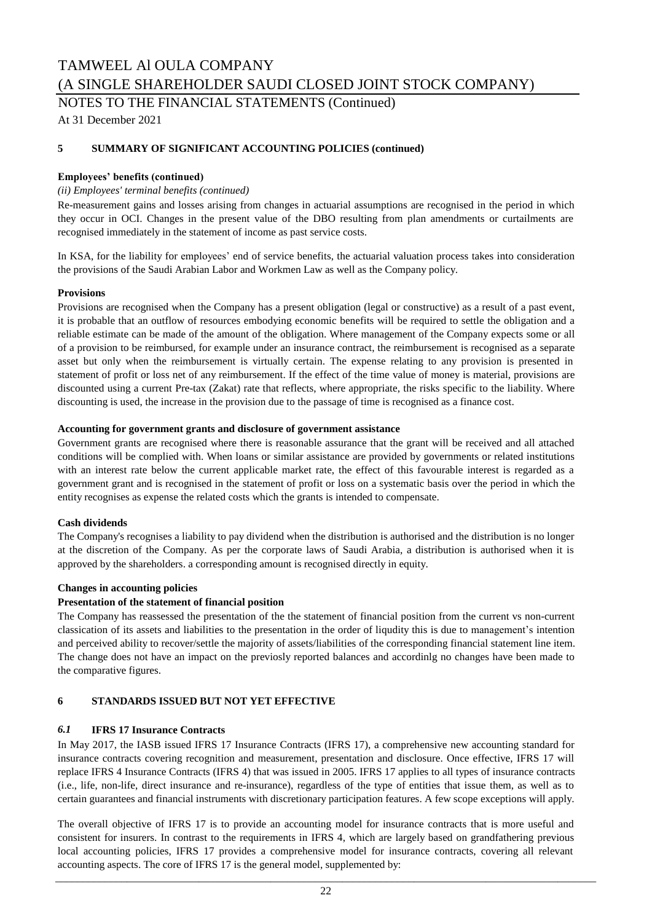NOTES TO THE FINANCIAL STATEMENTS (Continued)

At 31 December 2021

### **5 SUMMARY OF SIGNIFICANT ACCOUNTING POLICIES (continued)**

### **Employees' benefits (continued)**

### *(ii) Employees' terminal benefits (continued)*

Re-measurement gains and losses arising from changes in actuarial assumptions are recognised in the period in which they occur in OCI. Changes in the present value of the DBO resulting from plan amendments or curtailments are recognised immediately in the statement of income as past service costs.

In KSA, for the liability for employees' end of service benefits, the actuarial valuation process takes into consideration the provisions of the Saudi Arabian Labor and Workmen Law as well as the Company policy.

#### **Provisions**

Provisions are recognised when the Company has a present obligation (legal or constructive) as a result of a past event, it is probable that an outflow of resources embodying economic benefits will be required to settle the obligation and a reliable estimate can be made of the amount of the obligation. Where management of the Company expects some or all of a provision to be reimbursed, for example under an insurance contract, the reimbursement is recognised as a separate asset but only when the reimbursement is virtually certain. The expense relating to any provision is presented in statement of profit or loss net of any reimbursement. If the effect of the time value of money is material, provisions are discounted using a current Pre-tax (Zakat) rate that reflects, where appropriate, the risks specific to the liability. Where discounting is used, the increase in the provision due to the passage of time is recognised as a finance cost.

### **Accounting for government grants and disclosure of government assistance**

Government grants are recognised where there is reasonable assurance that the grant will be received and all attached conditions will be complied with. When loans or similar assistance are provided by governments or related institutions with an interest rate below the current applicable market rate, the effect of this favourable interest is regarded as a government grant and is recognised in the statement of profit or loss on a systematic basis over the period in which the entity recognises as expense the related costs which the grants is intended to compensate.

#### **Cash dividends**

The Company's recognises a liability to pay dividend when the distribution is authorised and the distribution is no longer at the discretion of the Company. As per the corporate laws of Saudi Arabia, a distribution is authorised when it is approved by the shareholders. a corresponding amount is recognised directly in equity.

#### **Changes in accounting policies**

### **Presentation of the statement of financial position**

The Company has reassessed the presentation of the the statement of financial position from the current vs non-current classication of its assets and liabilities to the presentation in the order of liqudity this is due to management's intention and perceived ability to recover/settle the majority of assets/liabilities of the corresponding financial statement line item. The change does not have an impact on the previosly reported balances and accordinlg no changes have been made to the comparative figures.

### **6 STANDARDS ISSUED BUT NOT YET EFFECTIVE**

### *6.1* **IFRS 17 Insurance Contracts**

In May 2017, the IASB issued IFRS 17 Insurance Contracts (IFRS 17), a comprehensive new accounting standard for insurance contracts covering recognition and measurement, presentation and disclosure. Once effective, IFRS 17 will replace IFRS 4 Insurance Contracts (IFRS 4) that was issued in 2005. IFRS 17 applies to all types of insurance contracts (i.e., life, non-life, direct insurance and re-insurance), regardless of the type of entities that issue them, as well as to certain guarantees and financial instruments with discretionary participation features. A few scope exceptions will apply.

The overall objective of IFRS 17 is to provide an accounting model for insurance contracts that is more useful and consistent for insurers. In contrast to the requirements in IFRS 4, which are largely based on grandfathering previous local accounting policies, IFRS 17 provides a comprehensive model for insurance contracts, covering all relevant accounting aspects. The core of IFRS 17 is the general model, supplemented by: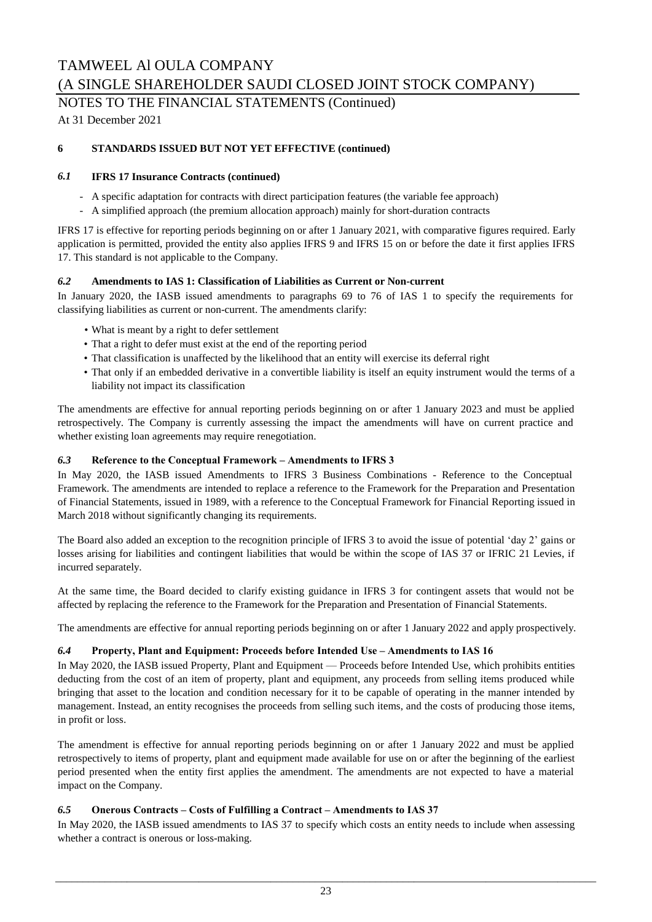NOTES TO THE FINANCIAL STATEMENTS (Continued)

At 31 December 2021

### **6 STANDARDS ISSUED BUT NOT YET EFFECTIVE (continued)**

### *6.1* **IFRS 17 Insurance Contracts (continued)**

- A specific adaptation for contracts with direct participation features (the variable fee approach)
- A simplified approach (the premium allocation approach) mainly for short-duration contracts

IFRS 17 is effective for reporting periods beginning on or after 1 January 2021, with comparative figures required. Early application is permitted, provided the entity also applies IFRS 9 and IFRS 15 on or before the date it first applies IFRS 17. This standard is not applicable to the Company.

### *6.2* **Amendments to IAS 1: Classification of Liabilities as Current or Non-current**

In January 2020, the IASB issued amendments to paragraphs 69 to 76 of IAS 1 to specify the requirements for classifying liabilities as current or non-current. The amendments clarify:

- What is meant by a right to defer settlement
- That a right to defer must exist at the end of the reporting period
- That classification is unaffected by the likelihood that an entity will exercise its deferral right
- That only if an embedded derivative in a convertible liability is itself an equity instrument would the terms of a liability not impact its classification

The amendments are effective for annual reporting periods beginning on or after 1 January 2023 and must be applied retrospectively. The Company is currently assessing the impact the amendments will have on current practice and whether existing loan agreements may require renegotiation.

### *6.3* **Reference to the Conceptual Framework – Amendments to IFRS 3**

In May 2020, the IASB issued Amendments to IFRS 3 Business Combinations - Reference to the Conceptual Framework. The amendments are intended to replace a reference to the Framework for the Preparation and Presentation of Financial Statements, issued in 1989, with a reference to the Conceptual Framework for Financial Reporting issued in March 2018 without significantly changing its requirements.

The Board also added an exception to the recognition principle of IFRS 3 to avoid the issue of potential 'day 2' gains or losses arising for liabilities and contingent liabilities that would be within the scope of IAS 37 or IFRIC 21 Levies, if incurred separately.

At the same time, the Board decided to clarify existing guidance in IFRS 3 for contingent assets that would not be affected by replacing the reference to the Framework for the Preparation and Presentation of Financial Statements.

The amendments are effective for annual reporting periods beginning on or after 1 January 2022 and apply prospectively.

### *6.4* **Property, Plant and Equipment: Proceeds before Intended Use – Amendments to IAS 16**

In May 2020, the IASB issued Property, Plant and Equipment — Proceeds before Intended Use, which prohibits entities deducting from the cost of an item of property, plant and equipment, any proceeds from selling items produced while bringing that asset to the location and condition necessary for it to be capable of operating in the manner intended by management. Instead, an entity recognises the proceeds from selling such items, and the costs of producing those items, in profit or loss.

The amendment is effective for annual reporting periods beginning on or after 1 January 2022 and must be applied retrospectively to items of property, plant and equipment made available for use on or after the beginning of the earliest period presented when the entity first applies the amendment. The amendments are not expected to have a material impact on the Company.

### *6.5* **Onerous Contracts – Costs of Fulfilling a Contract – Amendments to IAS 37**

In May 2020, the IASB issued amendments to IAS 37 to specify which costs an entity needs to include when assessing whether a contract is onerous or loss-making.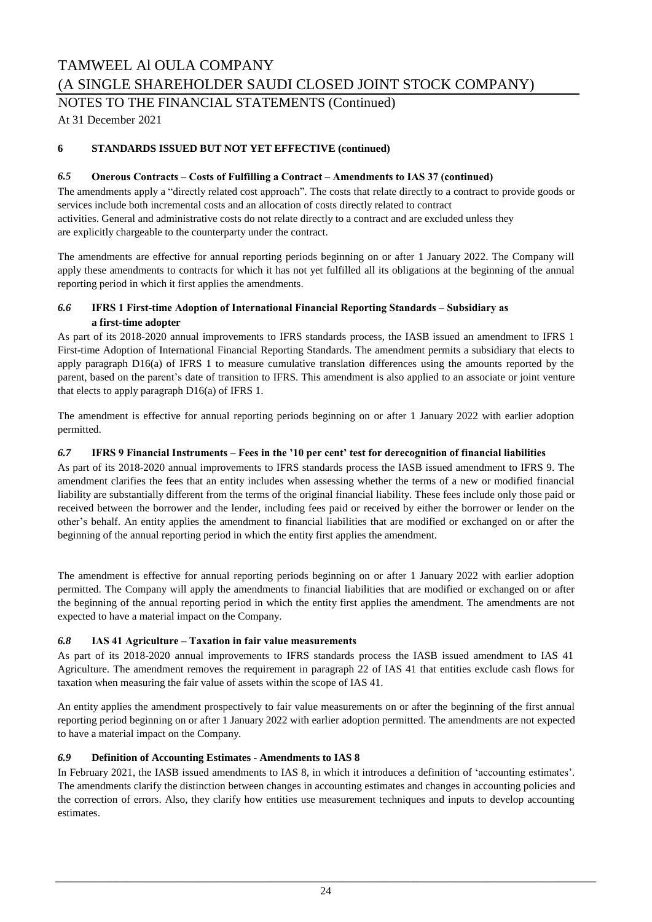### NOTES TO THE FINANCIAL STATEMENTS (Continued)

At 31 December 2021

### **6 STANDARDS ISSUED BUT NOT YET EFFECTIVE (continued)**

### *6.5* **Onerous Contracts – Costs of Fulfilling a Contract – Amendments to IAS 37 (continued)**

The amendments apply a "directly related cost approach". The costs that relate directly to a contract to provide goods or services include both incremental costs and an allocation of costs directly related to contract activities. General and administrative costs do not relate directly to a contract and are excluded unless they are explicitly chargeable to the counterparty under the contract.

The amendments are effective for annual reporting periods beginning on or after 1 January 2022. The Company will apply these amendments to contracts for which it has not yet fulfilled all its obligations at the beginning of the annual reporting period in which it first applies the amendments.

### *6.6* **IFRS 1 First-time Adoption of International Financial Reporting Standards – Subsidiary as a first-time adopter**

As part of its 2018-2020 annual improvements to IFRS standards process, the IASB issued an amendment to IFRS 1 First-time Adoption of International Financial Reporting Standards. The amendment permits a subsidiary that elects to apply paragraph D16(a) of IFRS 1 to measure cumulative translation differences using the amounts reported by the parent, based on the parent's date of transition to IFRS. This amendment is also applied to an associate or joint venture that elects to apply paragraph D16(a) of IFRS 1.

The amendment is effective for annual reporting periods beginning on or after 1 January 2022 with earlier adoption permitted.

### *6.7* **IFRS 9 Financial Instruments – Fees in the '10 per cent' test for derecognition of financial liabilities**

As part of its 2018-2020 annual improvements to IFRS standards process the IASB issued amendment to IFRS 9. The amendment clarifies the fees that an entity includes when assessing whether the terms of a new or modified financial liability are substantially different from the terms of the original financial liability. These fees include only those paid or received between the borrower and the lender, including fees paid or received by either the borrower or lender on the other's behalf. An entity applies the amendment to financial liabilities that are modified or exchanged on or after the beginning of the annual reporting period in which the entity first applies the amendment.

The amendment is effective for annual reporting periods beginning on or after 1 January 2022 with earlier adoption permitted. The Company will apply the amendments to financial liabilities that are modified or exchanged on or after the beginning of the annual reporting period in which the entity first applies the amendment. The amendments are not expected to have a material impact on the Company.

### *6.8* **IAS 41 Agriculture – Taxation in fair value measurements**

As part of its 2018-2020 annual improvements to IFRS standards process the IASB issued amendment to IAS 41 Agriculture. The amendment removes the requirement in paragraph 22 of IAS 41 that entities exclude cash flows for taxation when measuring the fair value of assets within the scope of IAS 41.

An entity applies the amendment prospectively to fair value measurements on or after the beginning of the first annual reporting period beginning on or after 1 January 2022 with earlier adoption permitted. The amendments are not expected to have a material impact on the Company.

### *6.9* **Definition of Accounting Estimates - Amendments to IAS 8**

In February 2021, the IASB issued amendments to IAS 8, in which it introduces a definition of 'accounting estimates'. The amendments clarify the distinction between changes in accounting estimates and changes in accounting policies and the correction of errors. Also, they clarify how entities use measurement techniques and inputs to develop accounting estimates.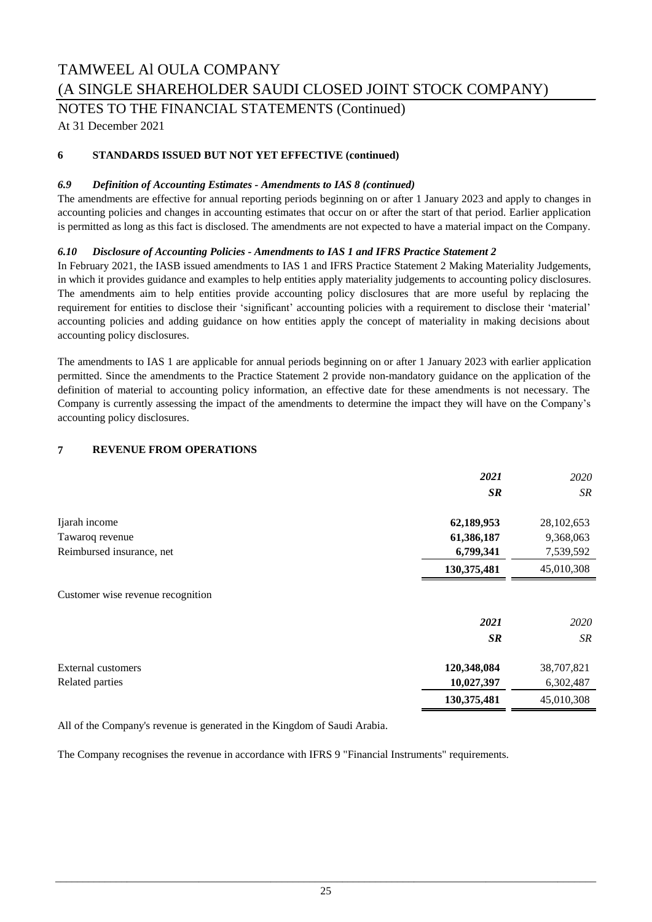NOTES TO THE FINANCIAL STATEMENTS (Continued)

At 31 December 2021

### **6 STANDARDS ISSUED BUT NOT YET EFFECTIVE (continued)**

### *6.9 Definition of Accounting Estimates - Amendments to IAS 8 (continued)*

The amendments are effective for annual reporting periods beginning on or after 1 January 2023 and apply to changes in accounting policies and changes in accounting estimates that occur on or after the start of that period. Earlier application is permitted as long as this fact is disclosed. The amendments are not expected to have a material impact on the Company.

### *6.10 Disclosure of Accounting Policies - Amendments to IAS 1 and IFRS Practice Statement 2*

In February 2021, the IASB issued amendments to IAS 1 and IFRS Practice Statement 2 Making Materiality Judgements, in which it provides guidance and examples to help entities apply materiality judgements to accounting policy disclosures. The amendments aim to help entities provide accounting policy disclosures that are more useful by replacing the requirement for entities to disclose their 'significant' accounting policies with a requirement to disclose their 'material' accounting policies and adding guidance on how entities apply the concept of materiality in making decisions about accounting policy disclosures.

The amendments to IAS 1 are applicable for annual periods beginning on or after 1 January 2023 with earlier application permitted. Since the amendments to the Practice Statement 2 provide non-mandatory guidance on the application of the definition of material to accounting policy information, an effective date for these amendments is not necessary. The Company is currently assessing the impact of the amendments to determine the impact they will have on the Company's accounting policy disclosures.

### **7 REVENUE FROM OPERATIONS**

|                                   | 2021        | 2020       |
|-----------------------------------|-------------|------------|
|                                   | <b>SR</b>   | <b>SR</b>  |
| Ijarah income                     | 62,189,953  | 28,102,653 |
| Tawaroq revenue                   | 61,386,187  | 9,368,063  |
| Reimbursed insurance, net         | 6,799,341   | 7,539,592  |
|                                   | 130,375,481 | 45,010,308 |
| Customer wise revenue recognition |             |            |
|                                   | 2021        | 2020       |
|                                   | <b>SR</b>   | <b>SR</b>  |
| <b>External customers</b>         | 120,348,084 | 38,707,821 |
| Related parties                   | 10,027,397  | 6,302,487  |
|                                   | 130,375,481 | 45,010,308 |

All of the Company's revenue is generated in the Kingdom of Saudi Arabia.

The Company recognises the revenue in accordance with IFRS 9 "Financial Instruments" requirements.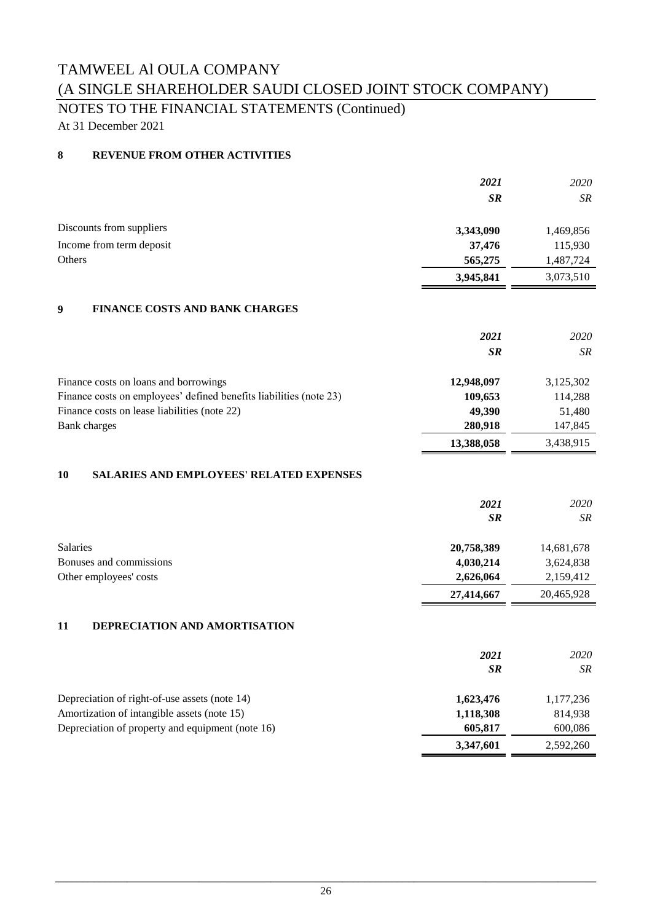## NOTES TO THE FINANCIAL STATEMENTS (Continued)

At 31 December 2021

### **8 REVENUE FROM OTHER ACTIVITIES**

|                                            | 2021      | 2020      |
|--------------------------------------------|-----------|-----------|
|                                            | <b>SR</b> | SR        |
| Discounts from suppliers                   | 3,343,090 | 1,469,856 |
| Income from term deposit                   | 37,476    | 115,930   |
| Others                                     | 565,275   | 1,487,724 |
|                                            | 3,945,841 | 3,073,510 |
| FINANCE COSTS AND RANK CHADCES<br>$\Omega$ |           |           |

### **9 FINANCE COSTS AND BANK CHARGES**

|                                                                    | 2021       | 2020      |
|--------------------------------------------------------------------|------------|-----------|
|                                                                    | <b>SR</b>  | SR.       |
| Finance costs on loans and borrowings                              | 12,948,097 | 3,125,302 |
| Finance costs on employees' defined benefits liabilities (note 23) | 109,653    | 114,288   |
| Finance costs on lease liabilities (note 22)                       | 49.390     | 51,480    |
| <b>Bank</b> charges                                                | 280,918    | 147,845   |
|                                                                    | 13,388,058 | 3,438,915 |

### **10 SALARIES AND EMPLOYEES' RELATED EXPENSES**

|                         | 2021<br><b>SR</b> | <i>2020</i><br>SR. |
|-------------------------|-------------------|--------------------|
| <b>Salaries</b>         | 20,758,389        | 14,681,678         |
| Bonuses and commissions | 4,030,214         | 3,624,838          |
| Other employees' costs  | 2,626,064         | 2,159,412          |
|                         | 27,414,667        | 20,465,928         |

### **11 DEPRECIATION AND AMORTISATION**

|                                                  | 2021<br><b>SR</b> | 2020<br><b>SR</b> |
|--------------------------------------------------|-------------------|-------------------|
| Depreciation of right-of-use assets (note 14)    | 1,623,476         | 1,177,236         |
| Amortization of intangible assets (note 15)      | 1,118,308         | 814,938           |
| Depreciation of property and equipment (note 16) | 605,817           | 600,086           |
|                                                  | 3,347,601         | 2,592,260         |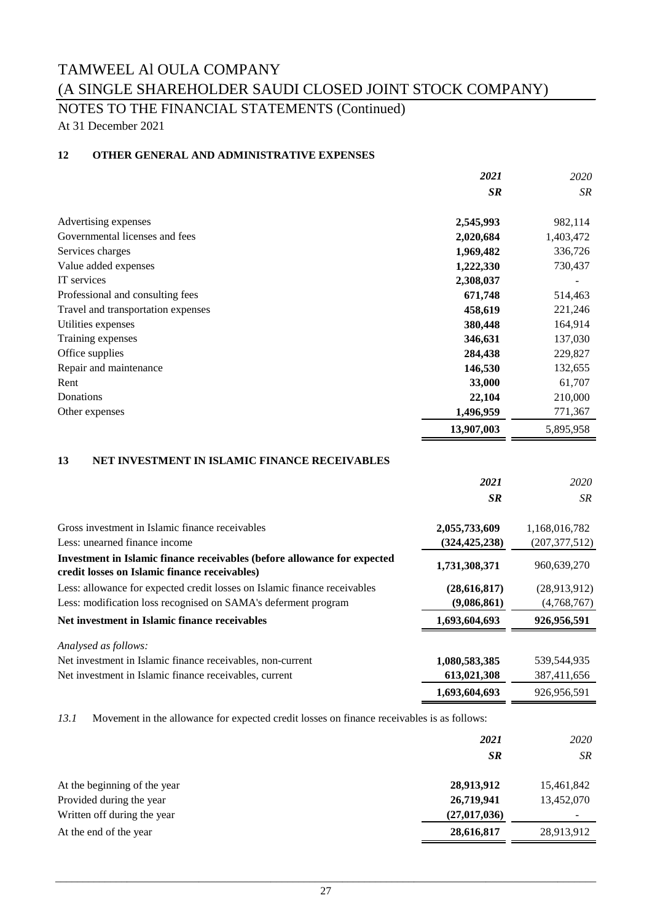## NOTES TO THE FINANCIAL STATEMENTS (Continued)

At 31 December 2021

### **12 OTHER GENERAL AND ADMINISTRATIVE EXPENSES**

|                                    | 2021       | 2020      |
|------------------------------------|------------|-----------|
|                                    | <b>SR</b>  | SR.       |
| Advertising expenses               | 2,545,993  | 982,114   |
| Governmental licenses and fees     | 2,020,684  | 1,403,472 |
| Services charges                   | 1,969,482  | 336,726   |
| Value added expenses               | 1,222,330  | 730,437   |
| IT services                        | 2,308,037  |           |
| Professional and consulting fees   | 671,748    | 514,463   |
| Travel and transportation expenses | 458,619    | 221,246   |
| Utilities expenses                 | 380,448    | 164,914   |
| Training expenses                  | 346,631    | 137,030   |
| Office supplies                    | 284,438    | 229,827   |
| Repair and maintenance             | 146,530    | 132,655   |
| Rent                               | 33,000     | 61,707    |
| Donations                          | 22,104     | 210,000   |
| Other expenses                     | 1,496,959  | 771,367   |
|                                    | 13,907,003 | 5,895,958 |

### **13 NET INVESTMENT IN ISLAMIC FINANCE RECEIVABLES**

|                                                                                                                           | 2021            | 2020            |
|---------------------------------------------------------------------------------------------------------------------------|-----------------|-----------------|
|                                                                                                                           | <b>SR</b>       | SR.             |
| Gross investment in Islamic finance receivables                                                                           | 2,055,733,609   | 1,168,016,782   |
| Less: unearned finance income                                                                                             | (324, 425, 238) | (207, 377, 512) |
| Investment in Islamic finance receivables (before allowance for expected<br>credit losses on Islamic finance receivables) | 1,731,308,371   | 960,639,270     |
| Less: allowance for expected credit losses on Islamic finance receivables                                                 | (28, 616, 817)  | (28,913,912)    |
| Less: modification loss recognised on SAMA's deferment program                                                            | (9,086,861)     | (4,768,767)     |
| Net investment in Islamic finance receivables                                                                             | 1,693,604,693   | 926,956,591     |
| Analysed as follows:                                                                                                      |                 |                 |
| Net investment in Islamic finance receivables, non-current                                                                | 1,080,583,385   | 539,544,935     |
| Net investment in Islamic finance receivables, current                                                                    | 613,021,308     | 387,411,656     |
|                                                                                                                           | 1,693,604,693   | 926,956,591     |

*13.1* Movement in the allowance for expected credit losses on finance receivables is as follows:

|                              | 2021           | 2020       |
|------------------------------|----------------|------------|
|                              | <b>SR</b>      | SR.        |
| At the beginning of the year | 28,913,912     | 15,461,842 |
| Provided during the year     | 26,719,941     | 13,452,070 |
| Written off during the year  | (27, 017, 036) |            |
| At the end of the year       | 28,616,817     | 28,913,912 |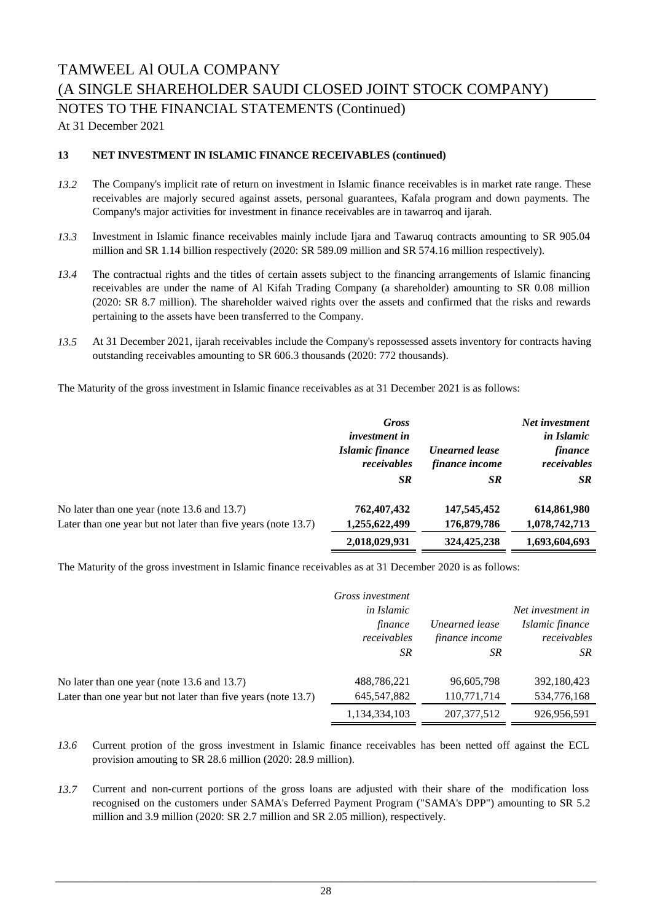NOTES TO THE FINANCIAL STATEMENTS (Continued)

At 31 December 2021

### **13 NET INVESTMENT IN ISLAMIC FINANCE RECEIVABLES (continued)**

- *13.2* The Company's implicit rate of return on investment in Islamic finance receivables is in market rate range. These receivables are majorly secured against assets, personal guarantees, Kafala program and down payments. The Company's major activities for investment in finance receivables are in tawarroq and ijarah.
- *13.3* Investment in Islamic finance receivables mainly include Ijara and Tawaruq contracts amounting to SR 905.04 million and SR 1.14 billion respectively (2020: SR 589.09 million and SR 574.16 million respectively).
- *13.4* The contractual rights and the titles of certain assets subject to the financing arrangements of Islamic financing receivables are under the name of Al Kifah Trading Company (a shareholder) amounting to SR 0.08 million (2020: SR 8.7 million). The shareholder waived rights over the assets and confirmed that the risks and rewards pertaining to the assets have been transferred to the Company.
- *13.5* At 31 December 2021, ijarah receivables include the Company's repossessed assets inventory for contracts having outstanding receivables amounting to SR 606.3 thousands (2020: 772 thousands).

The Maturity of the gross investment in Islamic finance receivables as at 31 December 2021 is as follows:

|                                                                                                              | <b>Gross</b><br><i>investment in</i><br>Islamic finance<br>receivables<br><b>SR</b> | <b>Unearned lease</b><br>finance income<br><b>SR</b> | Net investment<br><i>in Islamic</i><br>finance<br>receivables<br><b>SR</b> |
|--------------------------------------------------------------------------------------------------------------|-------------------------------------------------------------------------------------|------------------------------------------------------|----------------------------------------------------------------------------|
| No later than one year (note 13.6 and 13.7)<br>Later than one year but not later than five years (note 13.7) | 762,407,432<br>1,255,622,499                                                        | 147,545,452<br>176,879,786                           | 614,861,980<br>1,078,742,713                                               |
|                                                                                                              | 2,018,029,931                                                                       | 324,425,238                                          | 1,693,604,693                                                              |

The Maturity of the gross investment in Islamic finance receivables as at 31 December 2020 is as follows:

|                                                               | Gross investment<br><i>in Islamic</i><br>finance<br>receivables<br>SR. | Unearned lease<br>finance income<br>SR. | Net investment in<br>Islamic finance<br>receivables<br>SR. |
|---------------------------------------------------------------|------------------------------------------------------------------------|-----------------------------------------|------------------------------------------------------------|
| No later than one year (note 13.6 and 13.7)                   | 488,786,221                                                            | 96,605,798                              | 392,180,423                                                |
| Later than one year but not later than five years (note 13.7) | 645, 547, 882                                                          | 110,771,714                             | 534,776,168                                                |
|                                                               | 1,134,334,103                                                          | 207, 377, 512                           | 926,956,591                                                |

- *13.6* Current protion of the gross investment in Islamic finance receivables has been netted off against the ECL provision amouting to SR 28.6 million (2020: 28.9 million).
- *13.7* Current and non-current portions of the gross loans are adjusted with their share of the modification loss recognised on the customers under SAMA's Deferred Payment Program ("SAMA's DPP") amounting to SR 5.2 million and 3.9 million (2020: SR 2.7 million and SR 2.05 million), respectively.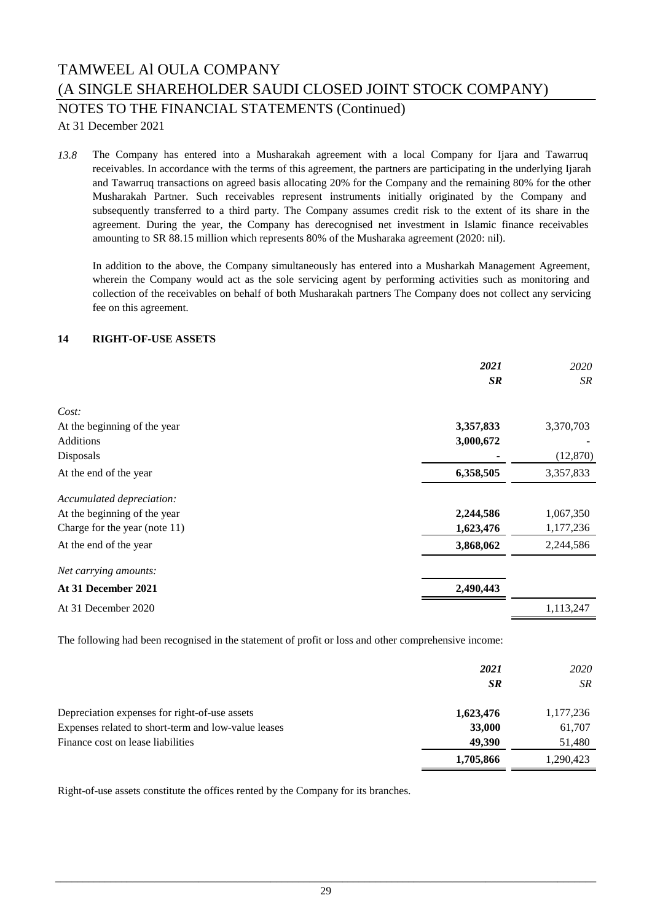NOTES TO THE FINANCIAL STATEMENTS (Continued)

At 31 December 2021

*13.8* The Company has entered into a Musharakah agreement with a local Company for Ijara and Tawarruq receivables. In accordance with the terms of this agreement, the partners are participating in the underlying Ijarah and Tawarruq transactions on agreed basis allocating 20% for the Company and the remaining 80% for the other Musharakah Partner. Such receivables represent instruments initially originated by the Company and subsequently transferred to a third party. The Company assumes credit risk to the extent of its share in the agreement. During the year, the Company has derecognised net investment in Islamic finance receivables amounting to SR 88.15 million which represents 80% of the Musharaka agreement (2020: nil).

In addition to the above, the Company simultaneously has entered into a Musharkah Management Agreement, wherein the Company would act as the sole servicing agent by performing activities such as monitoring and collection of the receivables on behalf of both Musharakah partners The Company does not collect any servicing fee on this agreement.

### **14 RIGHT-OF-USE ASSETS**

|                               | 2021<br><b>SR</b> | 2020<br><b>SR</b> |
|-------------------------------|-------------------|-------------------|
|                               |                   |                   |
| Cost:                         |                   |                   |
| At the beginning of the year  | 3,357,833         | 3,370,703         |
| Additions                     | 3,000,672         |                   |
| Disposals                     |                   | (12, 870)         |
| At the end of the year        | 6,358,505         | 3,357,833         |
| Accumulated depreciation:     |                   |                   |
| At the beginning of the year  | 2,244,586         | 1,067,350         |
| Charge for the year (note 11) | 1,623,476         | 1,177,236         |
| At the end of the year        | 3,868,062         | 2,244,586         |
| Net carrying amounts:         |                   |                   |
| At 31 December 2021           | 2,490,443         |                   |
| At 31 December 2020           |                   | 1,113,247         |

The following had been recognised in the statement of profit or loss and other comprehensive income:

|                                                     | 2021<br><b>SR</b> | 2020<br><b>SR</b> |
|-----------------------------------------------------|-------------------|-------------------|
| Depreciation expenses for right-of-use assets       | 1,623,476         | 1,177,236         |
| Expenses related to short-term and low-value leases | 33,000            | 61,707            |
| Finance cost on lease liabilities                   | 49.390            | 51,480            |
|                                                     | 1,705,866         | 1,290,423         |

Right-of-use assets constitute the offices rented by the Company for its branches.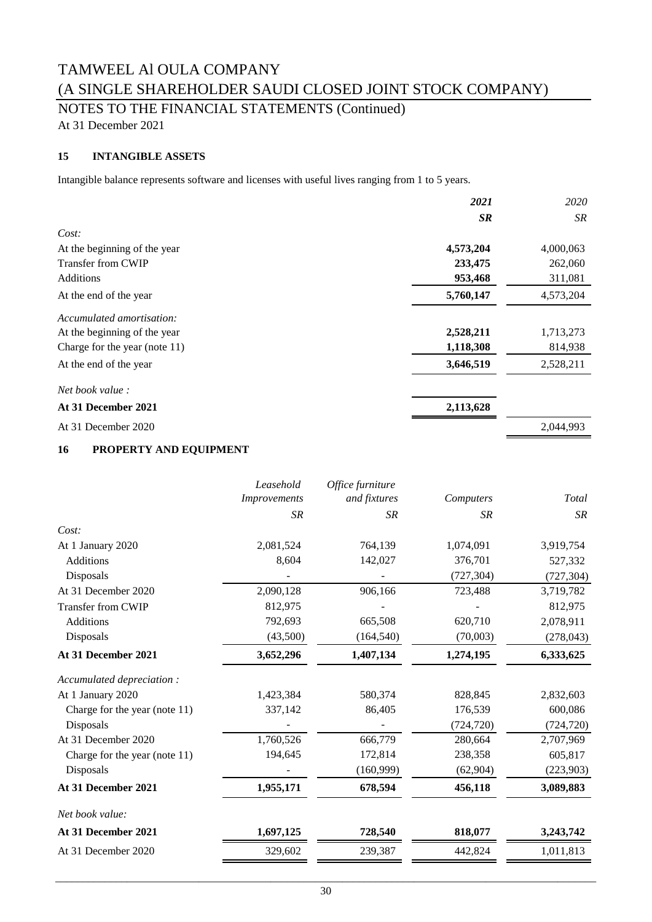NOTES TO THE FINANCIAL STATEMENTS (Continued)

At 31 December 2021

### **15 INTANGIBLE ASSETS**

Intangible balance represents software and licenses with useful lives ranging from 1 to 5 years.

|                                  | 2021      | 2020      |
|----------------------------------|-----------|-----------|
|                                  | <b>SR</b> | SR        |
| Cost:                            |           |           |
| At the beginning of the year     | 4,573,204 | 4,000,063 |
| Transfer from CWIP               | 233,475   | 262,060   |
| <b>Additions</b>                 | 953,468   | 311,081   |
| At the end of the year           | 5,760,147 | 4,573,204 |
| Accumulated amortisation:        |           |           |
| At the beginning of the year     | 2,528,211 | 1,713,273 |
| Charge for the year (note $11$ ) | 1,118,308 | 814,938   |
| At the end of the year           | 3,646,519 | 2,528,211 |
| <i>Net book value :</i>          |           |           |
| At 31 December 2021              | 2,113,628 |           |
| At 31 December 2020              |           | 2,044,993 |

### **16 PROPERTY AND EQUIPMENT**

|                               | Leasehold           | Office furniture |            |            |
|-------------------------------|---------------------|------------------|------------|------------|
|                               | <i>Improvements</i> | and fixtures     | Computers  | Total      |
|                               | <b>SR</b>           | <b>SR</b>        | <b>SR</b>  | SR         |
| Cost:                         |                     |                  |            |            |
| At 1 January 2020             | 2,081,524           | 764,139          | 1,074,091  | 3,919,754  |
| <b>Additions</b>              | 8,604               | 142,027          | 376,701    | 527,332    |
| Disposals                     |                     |                  | (727, 304) | (727, 304) |
| At 31 December 2020           | 2,090,128           | 906,166          | 723,488    | 3,719,782  |
| <b>Transfer from CWIP</b>     | 812,975             |                  |            | 812,975    |
| <b>Additions</b>              | 792,693             | 665,508          | 620,710    | 2,078,911  |
| Disposals                     | (43,500)            | (164, 540)       | (70,003)   | (278, 043) |
| At 31 December 2021           | 3,652,296           | 1,407,134        | 1,274,195  | 6,333,625  |
| Accumulated depreciation:     |                     |                  |            |            |
| At 1 January 2020             | 1,423,384           | 580,374          | 828,845    | 2,832,603  |
| Charge for the year (note 11) | 337,142             | 86,405           | 176,539    | 600,086    |
| Disposals                     |                     |                  | (724, 720) | (724, 720) |
| At 31 December 2020           | 1,760,526           | 666,779          | 280,664    | 2,707,969  |
| Charge for the year (note 11) | 194,645             | 172,814          | 238,358    | 605,817    |
| Disposals                     |                     | (160,999)        | (62,904)   | (223,903)  |
| At 31 December 2021           | 1,955,171           | 678,594          | 456,118    | 3,089,883  |
| Net book value:               |                     |                  |            |            |
| At 31 December 2021           | 1,697,125           | 728,540          | 818,077    | 3,243,742  |
| At 31 December 2020           | 329,602             | 239,387          | 442,824    | 1,011,813  |
|                               |                     |                  |            |            |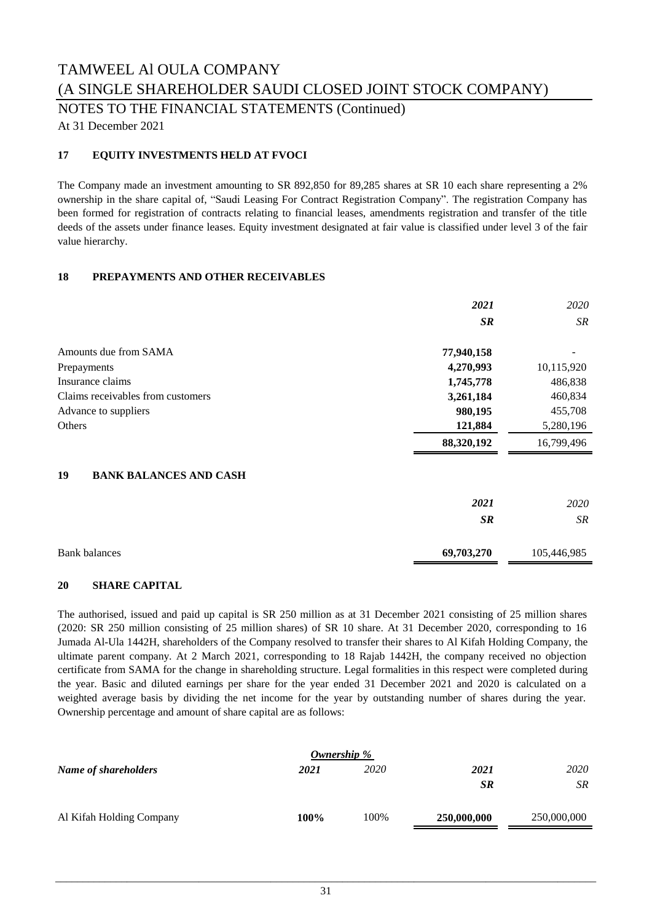NOTES TO THE FINANCIAL STATEMENTS (Continued)

At 31 December 2021

### **17 EQUITY INVESTMENTS HELD AT FVOCI**

The Company made an investment amounting to SR 892,850 for 89,285 shares at SR 10 each share representing a 2% ownership in the share capital of, "Saudi Leasing For Contract Registration Company". The registration Company has been formed for registration of contracts relating to financial leases, amendments registration and transfer of the title deeds of the assets under finance leases. Equity investment designated at fair value is classified under level 3 of the fair value hierarchy.

### **18 PREPAYMENTS AND OTHER RECEIVABLES**

|                                     | 2021       | 2020       |
|-------------------------------------|------------|------------|
|                                     | <b>SR</b>  | SR         |
| Amounts due from SAMA               | 77,940,158 |            |
| Prepayments                         | 4,270,993  | 10,115,920 |
| Insurance claims                    | 1,745,778  | 486,838    |
| Claims receivables from customers   | 3,261,184  | 460,834    |
| Advance to suppliers                | 980,195    | 455,708    |
| Others                              | 121,884    | 5,280,196  |
|                                     | 88,320,192 | 16,799,496 |
| 19<br><b>BANK BALANCES AND CASH</b> |            |            |
|                                     | 2021       | 2020       |

*SR SR*

| <b>Bank balances</b> | 69,703,270 | 105,446,985 |
|----------------------|------------|-------------|

### **20 SHARE CAPITAL**

The authorised, issued and paid up capital is SR 250 million as at 31 December 2021 consisting of 25 million shares (2020: SR 250 million consisting of 25 million shares) of SR 10 share. At 31 December 2020, corresponding to 16 Jumada Al-Ula 1442H, shareholders of the Company resolved to transfer their shares to Al Kifah Holding Company, the ultimate parent company. At 2 March 2021, corresponding to 18 Rajab 1442H, the company received no objection certificate from SAMA for the change in shareholding structure. Legal formalities in this respect were completed during the year. Basic and diluted earnings per share for the year ended 31 December 2021 and 2020 is calculated on a weighted average basis by dividing the net income for the year by outstanding number of shares during the year. Ownership percentage and amount of share capital are as follows:

| Ownership %              |         |      |             |             |
|--------------------------|---------|------|-------------|-------------|
| Name of shareholders     | 2021    | 2020 | 2021        | 2020        |
|                          |         |      | <b>SR</b>   | SR.         |
| Al Kifah Holding Company | $100\%$ | 100% | 250,000,000 | 250,000,000 |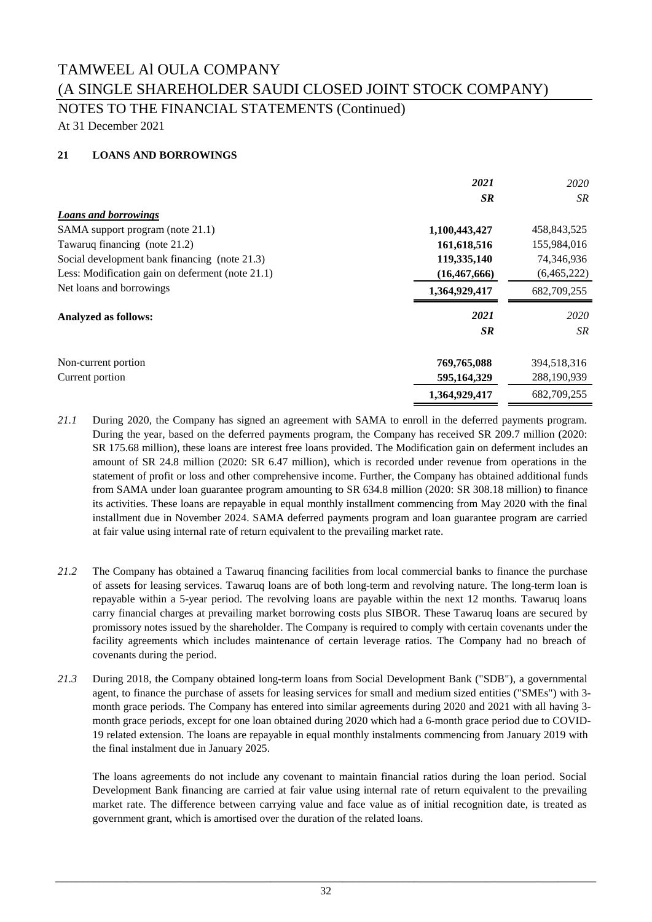### NOTES TO THE FINANCIAL STATEMENTS (Continued)

At 31 December 2021

### **21 LOANS AND BORROWINGS**

|                                                  | 2021           | 2020        |
|--------------------------------------------------|----------------|-------------|
|                                                  | <b>SR</b>      | SR          |
| <b>Loans and borrowings</b>                      |                |             |
| SAMA support program (note 21.1)                 | 1,100,443,427  | 458,843,525 |
| Tawaruq financing (note 21.2)                    | 161,618,516    | 155,984,016 |
| Social development bank financing (note 21.3)    | 119,335,140    | 74,346,936  |
| Less: Modification gain on deferment (note 21.1) | (16, 467, 666) | (6,465,222) |
| Net loans and borrowings                         | 1,364,929,417  | 682,709,255 |
| <b>Analyzed as follows:</b>                      | 2021           | 2020        |
|                                                  | <b>SR</b>      | SR          |
| Non-current portion                              | 769,765,088    | 394,518,316 |
| Current portion                                  | 595,164,329    | 288,190,939 |
|                                                  | 1,364,929,417  | 682,709,255 |

- *21.1* During 2020, the Company has signed an agreement with SAMA to enroll in the deferred payments program. During the year, based on the deferred payments program, the Company has received SR 209.7 million (2020: SR 175.68 million), these loans are interest free loans provided. The Modification gain on deferment includes an amount of SR 24.8 million (2020: SR 6.47 million), which is recorded under revenue from operations in the statement of profit or loss and other comprehensive income. Further, the Company has obtained additional funds from SAMA under loan guarantee program amounting to SR 634.8 million (2020: SR 308.18 million) to finance its activities. These loans are repayable in equal monthly installment commencing from May 2020 with the final installment due in November 2024. SAMA deferred payments program and loan guarantee program are carried at fair value using internal rate of return equivalent to the prevailing market rate.
- *21.2* The Company has obtained a Tawaruq financing facilities from local commercial banks to finance the purchase of assets for leasing services. Tawaruq loans are of both long-term and revolving nature. The long-term loan is repayable within a 5-year period. The revolving loans are payable within the next 12 months. Tawaruq loans carry financial charges at prevailing market borrowing costs plus SIBOR. These Tawaruq loans are secured by promissory notes issued by the shareholder. The Company is required to comply with certain covenants under the facility agreements which includes maintenance of certain leverage ratios. The Company had no breach of covenants during the period.
- *21.3* During 2018, the Company obtained long-term loans from Social Development Bank ("SDB"), a governmental agent, to finance the purchase of assets for leasing services for small and medium sized entities ("SMEs") with 3 month grace periods. The Company has entered into similar agreements during 2020 and 2021 with all having 3 month grace periods, except for one loan obtained during 2020 which had a 6-month grace period due to COVID-19 related extension. The loans are repayable in equal monthly instalments commencing from January 2019 with the final instalment due in January 2025.

The loans agreements do not include any covenant to maintain financial ratios during the loan period. Social Development Bank financing are carried at fair value using internal rate of return equivalent to the prevailing market rate. The difference between carrying value and face value as of initial recognition date, is treated as government grant, which is amortised over the duration of the related loans.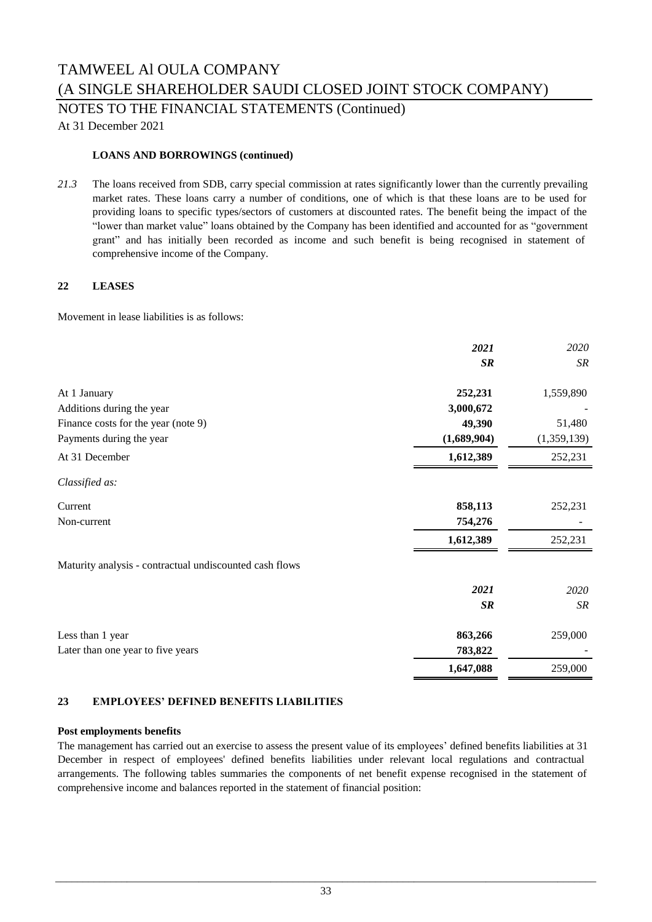NOTES TO THE FINANCIAL STATEMENTS (Continued)

At 31 December 2021

### **LOANS AND BORROWINGS (continued)**

*21.3* The loans received from SDB, carry special commission at rates significantly lower than the currently prevailing market rates. These loans carry a number of conditions, one of which is that these loans are to be used for providing loans to specific types/sectors of customers at discounted rates. The benefit being the impact of the "lower than market value" loans obtained by the Company has been identified and accounted for as "government grant" and has initially been recorded as income and such benefit is being recognised in statement of comprehensive income of the Company.

### **22 LEASES**

Movement in lease liabilities is as follows:

|                                                         | 2021        | 2020        |
|---------------------------------------------------------|-------------|-------------|
|                                                         | SR          | SR          |
| At 1 January                                            | 252,231     | 1,559,890   |
| Additions during the year                               | 3,000,672   |             |
| Finance costs for the year (note 9)                     | 49,390      | 51,480      |
| Payments during the year                                | (1,689,904) | (1,359,139) |
| At 31 December                                          | 1,612,389   | 252,231     |
| Classified as:                                          |             |             |
| Current                                                 | 858,113     | 252,231     |
| Non-current                                             | 754,276     |             |
|                                                         | 1,612,389   | 252,231     |
| Maturity analysis - contractual undiscounted cash flows |             |             |
|                                                         | 2021        | 2020        |
|                                                         | <b>SR</b>   | SR          |
| Less than 1 year                                        | 863,266     | 259,000     |
| Later than one year to five years                       | 783,822     |             |
|                                                         | 1,647,088   | 259,000     |

### **23 EMPLOYEES' DEFINED BENEFITS LIABILITIES**

#### **Post employments benefits**

The management has carried out an exercise to assess the present value of its employees' defined benefits liabilities at 31 December in respect of employees' defined benefits liabilities under relevant local regulations and contractual arrangements. The following tables summaries the components of net benefit expense recognised in the statement of comprehensive income and balances reported in the statement of financial position: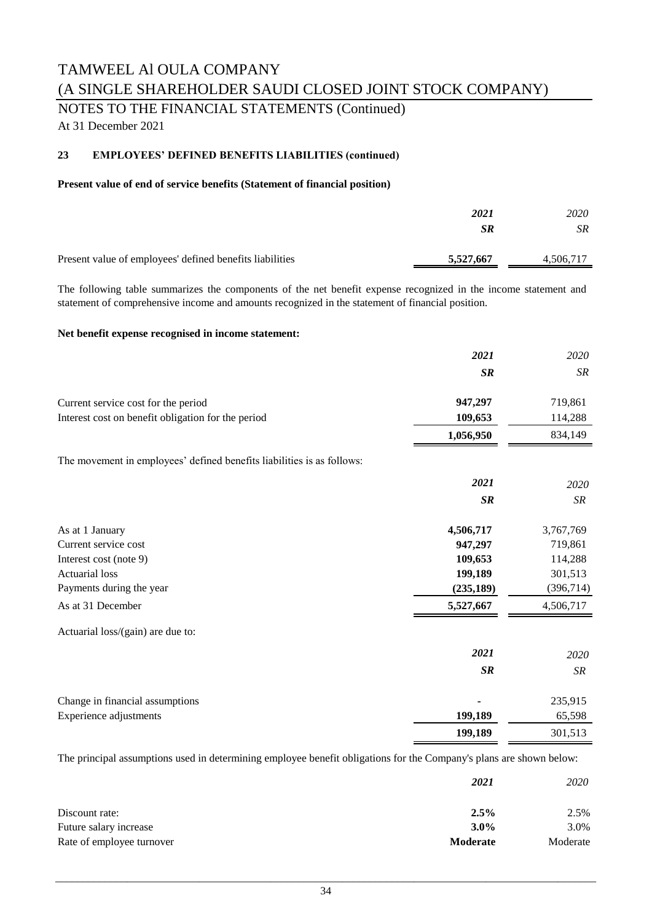## NOTES TO THE FINANCIAL STATEMENTS (Continued)

At 31 December 2021

### **23 EMPLOYEES' DEFINED BENEFITS LIABILITIES (continued)**

### **Present value of end of service benefits (Statement of financial position)**

|                                                          | 2021<br>SR | 2020<br>SR |
|----------------------------------------------------------|------------|------------|
| Present value of employees' defined benefits liabilities | 5,527,667  | 4.506.717  |

The following table summarizes the components of the net benefit expense recognized in the income statement and statement of comprehensive income and amounts recognized in the statement of financial position.

### **Net benefit expense recognised in income statement:**

|                                                                        | 2021       | 2020        |
|------------------------------------------------------------------------|------------|-------------|
|                                                                        | <b>SR</b>  | SR          |
| Current service cost for the period                                    | 947,297    | 719,861     |
| Interest cost on benefit obligation for the period                     | 109,653    | 114,288     |
|                                                                        | 1,056,950  | 834,149     |
| The movement in employees' defined benefits liabilities is as follows: |            |             |
|                                                                        | 2021       | 2020        |
|                                                                        | <b>SR</b>  | ${\cal SR}$ |
| As at 1 January                                                        | 4,506,717  | 3,767,769   |
| Current service cost                                                   | 947,297    | 719,861     |
| Interest cost (note 9)                                                 | 109,653    | 114,288     |
| <b>Actuarial</b> loss                                                  | 199,189    | 301,513     |
| Payments during the year                                               | (235, 189) | (396, 714)  |
| As at 31 December                                                      | 5,527,667  | 4,506,717   |
| Actuarial loss/(gain) are due to:                                      |            |             |
|                                                                        | 2021       | 2020        |
|                                                                        | SR         | SR          |
| Change in financial assumptions                                        |            | 235,915     |
| Experience adjustments                                                 | 199,189    | 65,598      |
|                                                                        | 199,189    | 301,513     |

The principal assumptions used in determining employee benefit obligations for the Company's plans are shown below:

|                           | 2021     | 2020     |  |
|---------------------------|----------|----------|--|
| Discount rate:            | 2.5%     | 2.5%     |  |
| Future salary increase    | $3.0\%$  | 3.0%     |  |
| Rate of employee turnover | Moderate | Moderate |  |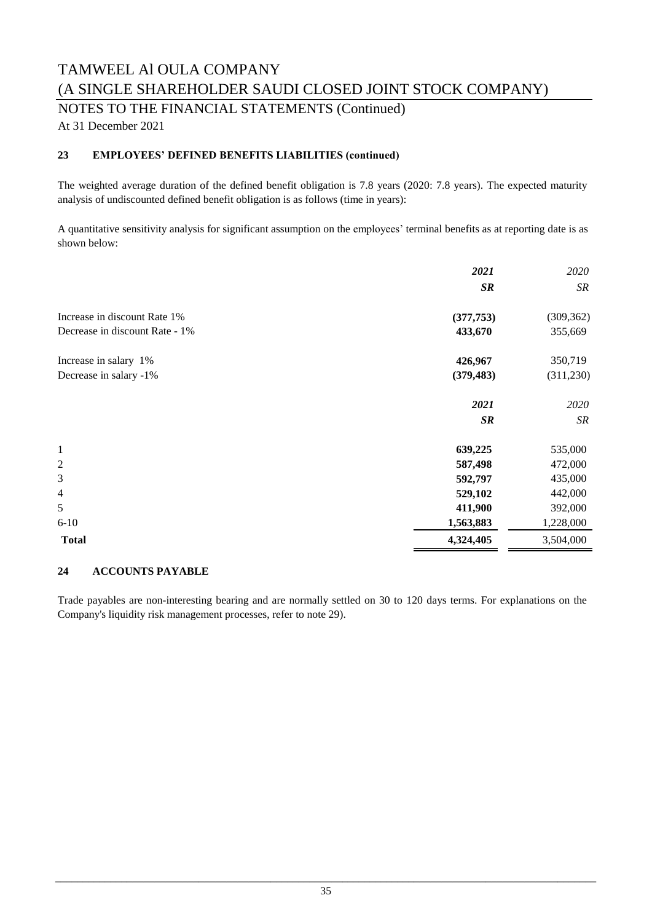NOTES TO THE FINANCIAL STATEMENTS (Continued)

At 31 December 2021

### **23 EMPLOYEES' DEFINED BENEFITS LIABILITIES (continued)**

The weighted average duration of the defined benefit obligation is 7.8 years (2020: 7.8 years). The expected maturity analysis of undiscounted defined benefit obligation is as follows (time in years):

A quantitative sensitivity analysis for significant assumption on the employees' terminal benefits as at reporting date is as shown below:

|                                | 2021       | 2020       |
|--------------------------------|------------|------------|
|                                | SR         | SR         |
| Increase in discount Rate 1%   | (377, 753) | (309, 362) |
| Decrease in discount Rate - 1% | 433,670    | 355,669    |
| Increase in salary 1%          | 426,967    | 350,719    |
| Decrease in salary -1%         | (379, 483) | (311,230)  |
|                                | 2021       | 2020       |
|                                | SR         | SR         |
| $\mathbf{1}$                   | 639,225    | 535,000    |
| $\overline{c}$                 | 587,498    | 472,000    |
| 3                              | 592,797    | 435,000    |
| 4                              | 529,102    | 442,000    |
| 5                              | 411,900    | 392,000    |
| $6 - 10$                       | 1,563,883  | 1,228,000  |
| <b>Total</b>                   | 4,324,405  | 3,504,000  |

### **24 ACCOUNTS PAYABLE**

Trade payables are non-interesting bearing and are normally settled on 30 to 120 days terms. For explanations on the Company's liquidity risk management processes, refer to note 29).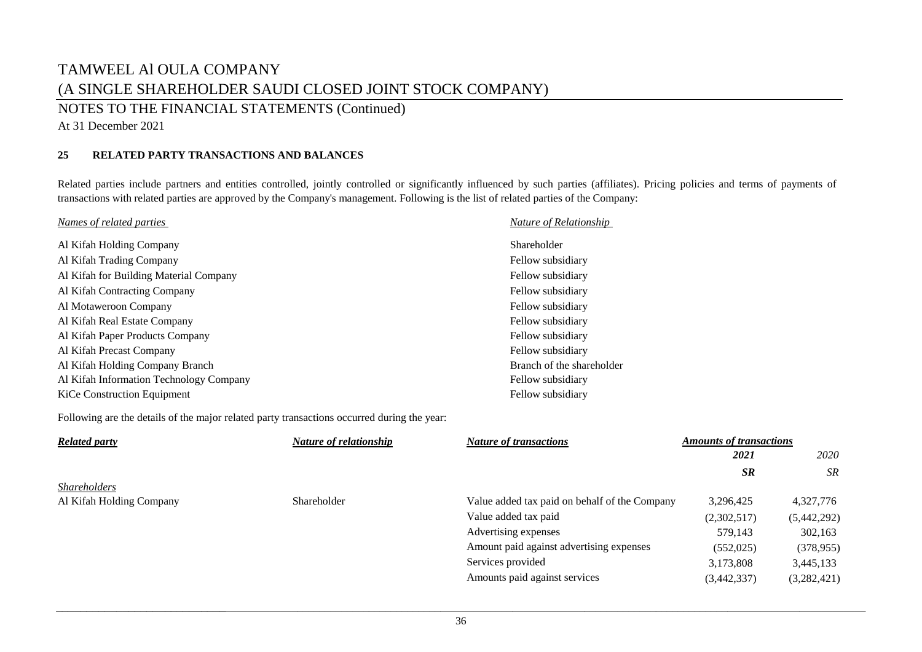NOTES TO THE FINANCIAL STATEMENTS (Continued)

At 31 December 2021

### **25 RELATED PARTY TRANSACTIONS AND BALANCES**

Related parties include partners and entities controlled, jointly controlled or significantly influenced by such parties (affiliates). Pricing policies and terms of payments of transactions with related parties are approved by the Company's management. Following is the list of related parties of the Company:

| Names of related parties                | Nature of Relationship    |
|-----------------------------------------|---------------------------|
| Al Kifah Holding Company                | Shareholder               |
| Al Kifah Trading Company                | Fellow subsidiary         |
| Al Kifah for Building Material Company  | Fellow subsidiary         |
| Al Kifah Contracting Company            | Fellow subsidiary         |
| Al Motaweroon Company                   | Fellow subsidiary         |
| Al Kifah Real Estate Company            | Fellow subsidiary         |
| Al Kifah Paper Products Company         | Fellow subsidiary         |
| Al Kifah Precast Company                | Fellow subsidiary         |
| Al Kifah Holding Company Branch         | Branch of the shareholder |
| Al Kifah Information Technology Company | Fellow subsidiary         |
| KiCe Construction Equipment             | Fellow subsidiary         |

Following are the details of the major related party transactions occurred during the year:

| <b>Related party</b>     | Nature of relationship | <b>Nature of transactions</b>                 | <b>Amounts of transactions</b> |             |
|--------------------------|------------------------|-----------------------------------------------|--------------------------------|-------------|
|                          |                        |                                               | 2021                           | 2020        |
|                          |                        |                                               | <b>SR</b>                      | <b>SR</b>   |
| <i>Shareholders</i>      |                        |                                               |                                |             |
| Al Kifah Holding Company | Shareholder            | Value added tax paid on behalf of the Company | 3,296,425                      | 4,327,776   |
|                          |                        | Value added tax paid                          | (2,302,517)                    | (5,442,292) |
|                          |                        | Advertising expenses                          | 579.143                        | 302,163     |
|                          |                        | Amount paid against advertising expenses      | (552, 025)                     | (378, 955)  |
|                          |                        | Services provided                             | 3,173,808                      | 3,445,133   |
|                          |                        | Amounts paid against services                 | (3,442,337)                    | (3,282,421) |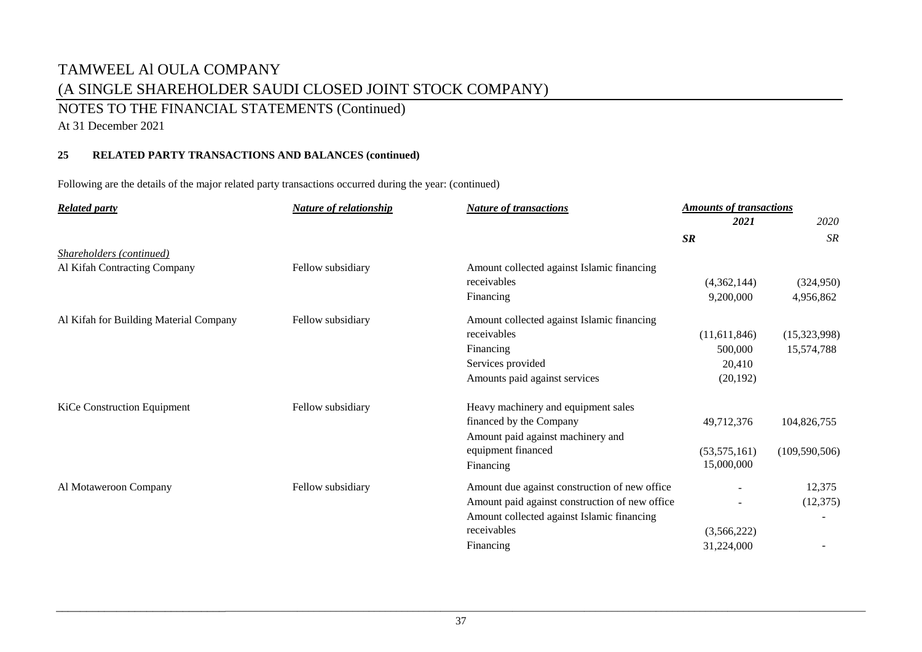### NOTES TO THE FINANCIAL STATEMENTS (Continued)

At 31 December 2021

### **25 RELATED PARTY TRANSACTIONS AND BALANCES (continued)**

Following are the details of the major related party transactions occurred during the year: (continued)

| <b>Related party</b>                   | <b>Nature of relationship</b> | <b>Nature of transactions</b>                  | <b>Amounts of transactions</b> |                 |
|----------------------------------------|-------------------------------|------------------------------------------------|--------------------------------|-----------------|
|                                        |                               |                                                | 2021                           | 2020            |
|                                        |                               |                                                | SR                             | SR              |
| Shareholders (continued)               |                               |                                                |                                |                 |
| Al Kifah Contracting Company           | Fellow subsidiary             | Amount collected against Islamic financing     |                                |                 |
|                                        |                               | receivables                                    | (4,362,144)                    | (324,950)       |
|                                        |                               | Financing                                      | 9,200,000                      | 4,956,862       |
| Al Kifah for Building Material Company | Fellow subsidiary             | Amount collected against Islamic financing     |                                |                 |
|                                        |                               | receivables                                    | (11,611,846)                   | (15,323,998)    |
|                                        |                               | Financing                                      | 500,000                        | 15,574,788      |
|                                        |                               | Services provided                              | 20,410                         |                 |
|                                        |                               | Amounts paid against services                  | (20, 192)                      |                 |
| KiCe Construction Equipment            | Fellow subsidiary             | Heavy machinery and equipment sales            |                                |                 |
|                                        |                               | financed by the Company                        | 49,712,376                     | 104,826,755     |
|                                        |                               | Amount paid against machinery and              |                                |                 |
|                                        |                               | equipment financed                             | (53,575,161)                   | (109, 590, 506) |
|                                        |                               | Financing                                      | 15,000,000                     |                 |
| Al Motaweroon Company                  | Fellow subsidiary             | Amount due against construction of new office  |                                | 12,375          |
|                                        |                               | Amount paid against construction of new office |                                | (12,375)        |
|                                        |                               | Amount collected against Islamic financing     |                                |                 |
|                                        |                               | receivables                                    | (3,566,222)                    |                 |
|                                        |                               | Financing                                      | 31,224,000                     |                 |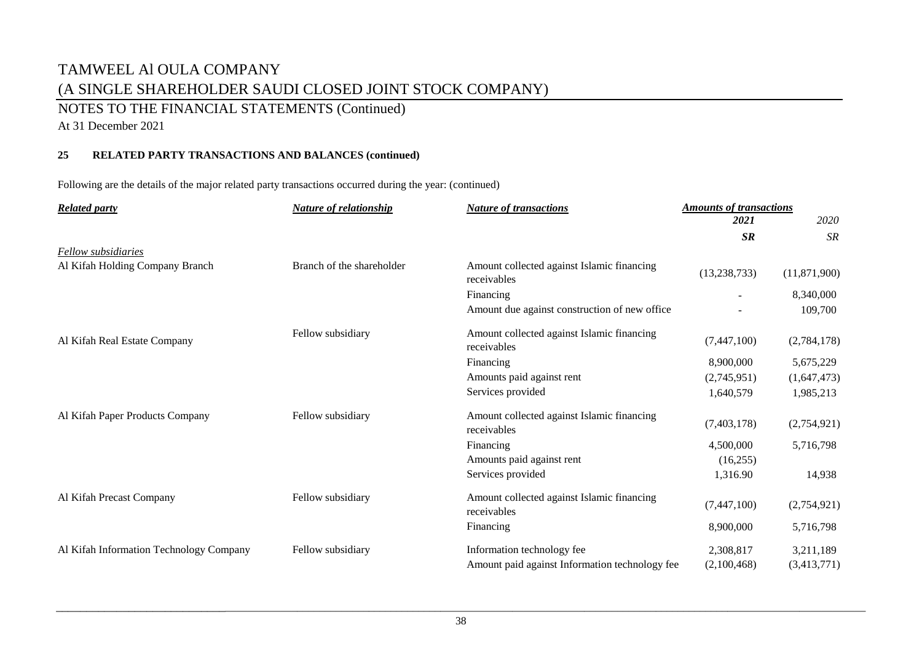### NOTES TO THE FINANCIAL STATEMENTS (Continued)

At 31 December 2021

### **25 RELATED PARTY TRANSACTIONS AND BALANCES (continued)**

Following are the details of the major related party transactions occurred during the year: (continued)

| <b>Related party</b>                    | <b>Nature of relationship</b> | <b>Nature of transactions</b>                             | <b>Amounts of transactions</b> |              |
|-----------------------------------------|-------------------------------|-----------------------------------------------------------|--------------------------------|--------------|
|                                         |                               |                                                           | 2021                           | 2020         |
|                                         |                               |                                                           | SR                             | <b>SR</b>    |
| <b>Fellow</b> subsidiaries              |                               |                                                           |                                |              |
| Al Kifah Holding Company Branch         | Branch of the shareholder     | Amount collected against Islamic financing<br>receivables | (13, 238, 733)                 | (11,871,900) |
|                                         |                               | Financing                                                 |                                | 8,340,000    |
|                                         |                               | Amount due against construction of new office.            |                                | 109,700      |
| Al Kifah Real Estate Company            | Fellow subsidiary             | Amount collected against Islamic financing<br>receivables | (7,447,100)                    | (2,784,178)  |
|                                         |                               | Financing                                                 | 8,900,000                      | 5,675,229    |
|                                         |                               | Amounts paid against rent                                 | (2,745,951)                    | (1,647,473)  |
|                                         |                               | Services provided                                         | 1,640,579                      | 1,985,213    |
| Al Kifah Paper Products Company         | Fellow subsidiary             | Amount collected against Islamic financing<br>receivables | (7,403,178)                    | (2,754,921)  |
|                                         |                               | Financing                                                 | 4,500,000                      | 5,716,798    |
|                                         |                               | Amounts paid against rent                                 | (16, 255)                      |              |
|                                         |                               | Services provided                                         | 1,316.90                       | 14,938       |
| Al Kifah Precast Company                | Fellow subsidiary             | Amount collected against Islamic financing<br>receivables | (7,447,100)                    | (2,754,921)  |
|                                         |                               | Financing                                                 | 8,900,000                      | 5,716,798    |
| Al Kifah Information Technology Company | Fellow subsidiary             | Information technology fee                                | 2,308,817                      | 3,211,189    |
|                                         |                               | Amount paid against Information technology fee            | (2,100,468)                    | (3,413,771)  |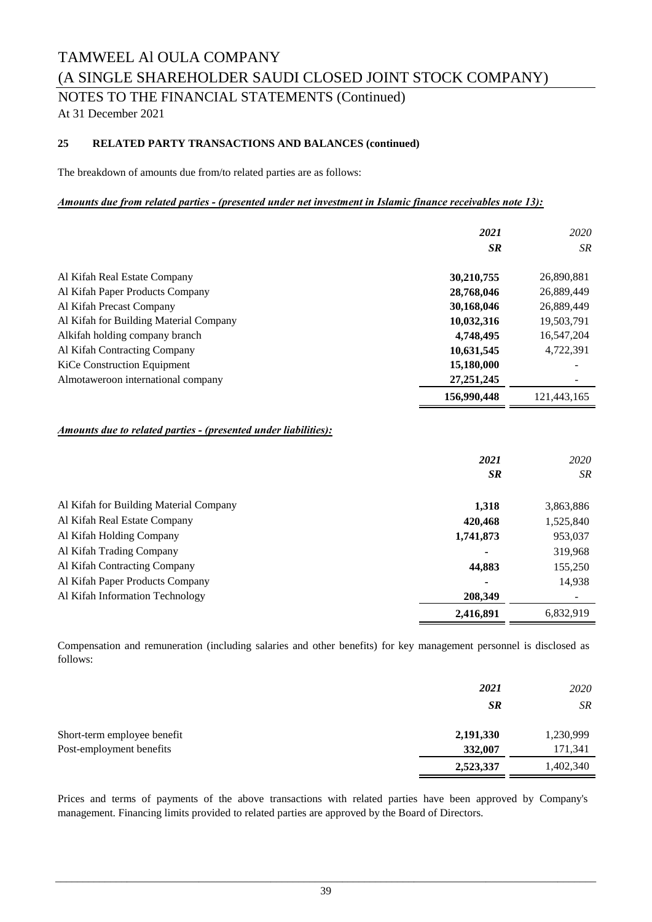NOTES TO THE FINANCIAL STATEMENTS (Continued)

At 31 December 2021

### **25 RELATED PARTY TRANSACTIONS AND BALANCES (continued)**

The breakdown of amounts due from/to related parties are as follows:

### *Amounts due from related parties ‑ (presented under net investment in Islamic finance receivables note 13):*

|                                                                        | 2021<br><b>SR</b> | 2020<br><b>SR</b> |
|------------------------------------------------------------------------|-------------------|-------------------|
| Al Kifah Real Estate Company                                           | 30,210,755        | 26,890,881        |
| Al Kifah Paper Products Company                                        | 28,768,046        | 26,889,449        |
| Al Kifah Precast Company                                               | 30,168,046        | 26,889,449        |
| Al Kifah for Building Material Company                                 | 10,032,316        | 19,503,791        |
| Alkifah holding company branch                                         | 4,748,495         | 16,547,204        |
| Al Kifah Contracting Company                                           | 10,631,545        | 4,722,391         |
| <b>KiCe Construction Equipment</b>                                     | 15,180,000        |                   |
| Almotaweroon international company                                     | 27, 251, 245      |                   |
|                                                                        | 156,990,448       | 121,443,165       |
| <b>Amounts due to related parties - (presented under liabilities):</b> | 2021<br><b>SR</b> | 2020<br>SR        |
| Al Kifah for Building Material Company                                 | 1,318             | 3,863,886         |
| Al Kifah Real Estate Company                                           | 420,468           | 1,525,840         |
| Al Kifah Holding Company                                               | 1,741,873         | 953,037           |
| Al Kifah Trading Company                                               |                   | 319,968           |

#### Al Kifah Contracting Company<br>
155,250 Al Kifah Paper Products Company **-** 14,938  **208,349** -  **2,416,891** 6,832,919 Al Kifah Information Technology

Compensation and remuneration (including salaries and other benefits) for key management personnel is disclosed as follows:

|                             | 2021      | 2020      |
|-----------------------------|-----------|-----------|
|                             | <b>SR</b> | <b>SR</b> |
| Short-term employee benefit | 2,191,330 | 1,230,999 |
| Post-employment benefits    | 332,007   | 171,341   |
|                             | 2,523,337 | 1,402,340 |

Prices and terms of payments of the above transactions with related parties have been approved by Company's management. Financing limits provided to related parties are approved by the Board of Directors.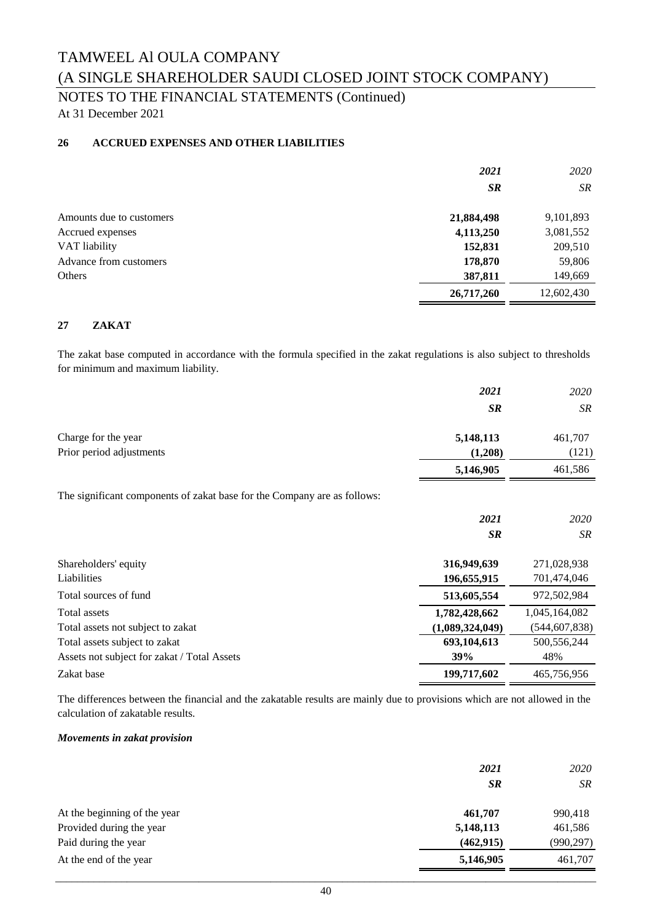### NOTES TO THE FINANCIAL STATEMENTS (Continued)

At 31 December 2021

### **26 ACCRUED EXPENSES AND OTHER LIABILITIES**

|                          | 2021       | 2020       |
|--------------------------|------------|------------|
|                          | <b>SR</b>  | SR.        |
| Amounts due to customers | 21,884,498 | 9,101,893  |
| Accrued expenses         | 4,113,250  | 3,081,552  |
| VAT liability            | 152,831    | 209,510    |
| Advance from customers   | 178,870    | 59,806     |
| Others                   | 387,811    | 149,669    |
|                          | 26,717,260 | 12,602,430 |

### **27 ZAKAT**

The zakat base computed in accordance with the formula specified in the zakat regulations is also subject to thresholds for minimum and maximum liability.

|                                                                          | 2021            | 2020            |
|--------------------------------------------------------------------------|-----------------|-----------------|
|                                                                          | SR              | SR              |
| Charge for the year                                                      | 5,148,113       | 461,707         |
| Prior period adjustments                                                 | (1,208)         | (121)           |
|                                                                          | 5,146,905       | 461,586         |
| The significant components of zakat base for the Company are as follows: |                 |                 |
|                                                                          | 2021            | 2020            |
|                                                                          | <b>SR</b>       | <b>SR</b>       |
| Shareholders' equity                                                     | 316,949,639     | 271,028,938     |
| Liabilities                                                              | 196,655,915     | 701,474,046     |
| Total sources of fund                                                    | 513,605,554     | 972,502,984     |
| Total assets                                                             | 1,782,428,662   | 1,045,164,082   |
| Total assets not subject to zakat                                        | (1,089,324,049) | (544, 607, 838) |
| Total assets subject to zakat                                            | 693,104,613     | 500, 556, 244   |
| Assets not subject for zakat / Total Assets                              | 39%             | 48%             |
| Zakat base                                                               | 199,717,602     | 465,756,956     |

The differences between the financial and the zakatable results are mainly due to provisions which are not allowed in the calculation of zakatable results.

#### *Movements in zakat provision*

|                              | 2021<br><b>SR</b> | 2020<br><b>SR</b> |
|------------------------------|-------------------|-------------------|
| At the beginning of the year | 461,707           | 990,418           |
| Provided during the year     | 5,148,113         | 461,586           |
| Paid during the year         | (462, 915)        | (990, 297)        |
| At the end of the year       | 5,146,905         | 461,707           |
|                              |                   |                   |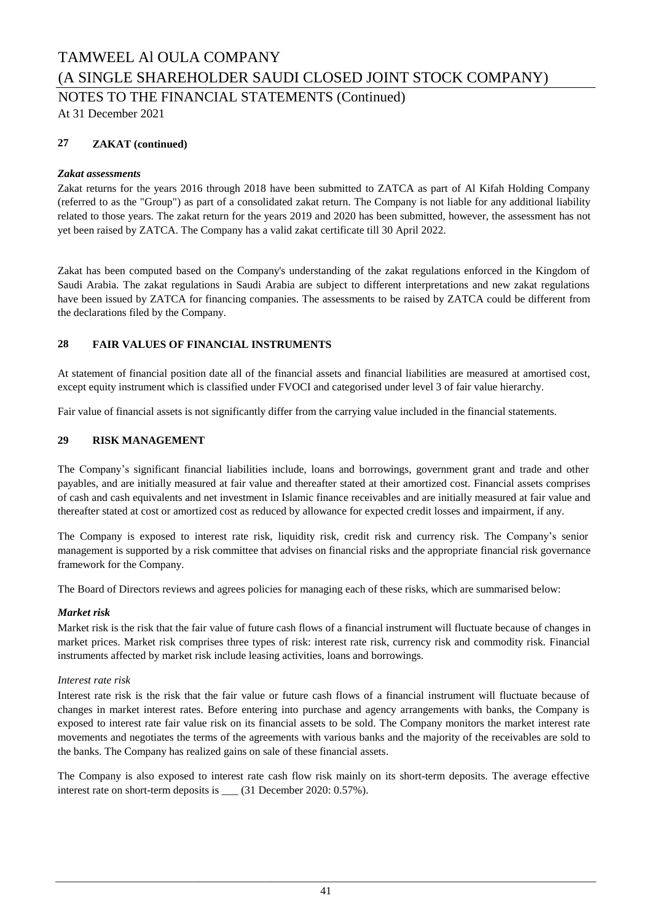NOTES TO THE FINANCIAL STATEMENTS (Continued)

At 31 December 2021

### **27 ZAKAT (continued)**

### *Zakat assessments*

Zakat returns for the years 2016 through 2018 have been submitted to ZATCA as part of Al Kifah Holding Company (referred to as the "Group") as part of a consolidated zakat return. The Company is not liable for any additional liability related to those years. The zakat return for the years 2019 and 2020 has been submitted, however, the assessment has not yet been raised by ZATCA. The Company has a valid zakat certificate till 30 April 2022.

Zakat has been computed based on the Company's understanding of the zakat regulations enforced in the Kingdom of Saudi Arabia. The zakat regulations in Saudi Arabia are subject to different interpretations and new zakat regulations have been issued by ZATCA for financing companies. The assessments to be raised by ZATCA could be different from the declarations filed by the Company.

### **28 FAIR VALUES OF FINANCIAL INSTRUMENTS**

At statement of financial position date all of the financial assets and financial liabilities are measured at amortised cost, except equity instrument which is classified under FVOCI and categorised under level 3 of fair value hierarchy.

Fair value of financial assets is not significantly differ from the carrying value included in the financial statements.

### **29 RISK MANAGEMENT**

The Company's significant financial liabilities include, loans and borrowings, government grant and trade and other payables, and are initially measured at fair value and thereafter stated at their amortized cost. Financial assets comprises of cash and cash equivalents and net investment in Islamic finance receivables and are initially measured at fair value and thereafter stated at cost or amortized cost as reduced by allowance for expected credit losses and impairment, if any.

The Company is exposed to interest rate risk, liquidity risk, credit risk and currency risk. The Company's senior management is supported by a risk committee that advises on financial risks and the appropriate financial risk governance framework for the Company.

The Board of Directors reviews and agrees policies for managing each of these risks, which are summarised below:

### *Market risk*

Market risk is the risk that the fair value of future cash flows of a financial instrument will fluctuate because of changes in market prices. Market risk comprises three types of risk: interest rate risk, currency risk and commodity risk. Financial instruments affected by market risk include leasing activities, loans and borrowings.

### *Interest rate risk*

Interest rate risk is the risk that the fair value or future cash flows of a financial instrument will fluctuate because of changes in market interest rates. Before entering into purchase and agency arrangements with banks, the Company is exposed to interest rate fair value risk on its financial assets to be sold. The Company monitors the market interest rate movements and negotiates the terms of the agreements with various banks and the majority of the receivables are sold to the banks. The Company has realized gains on sale of these financial assets.

The Company is also exposed to interest rate cash flow risk mainly on its short-term deposits. The average effective interest rate on short-term deposits is \_\_\_ (31 December 2020: 0.57%).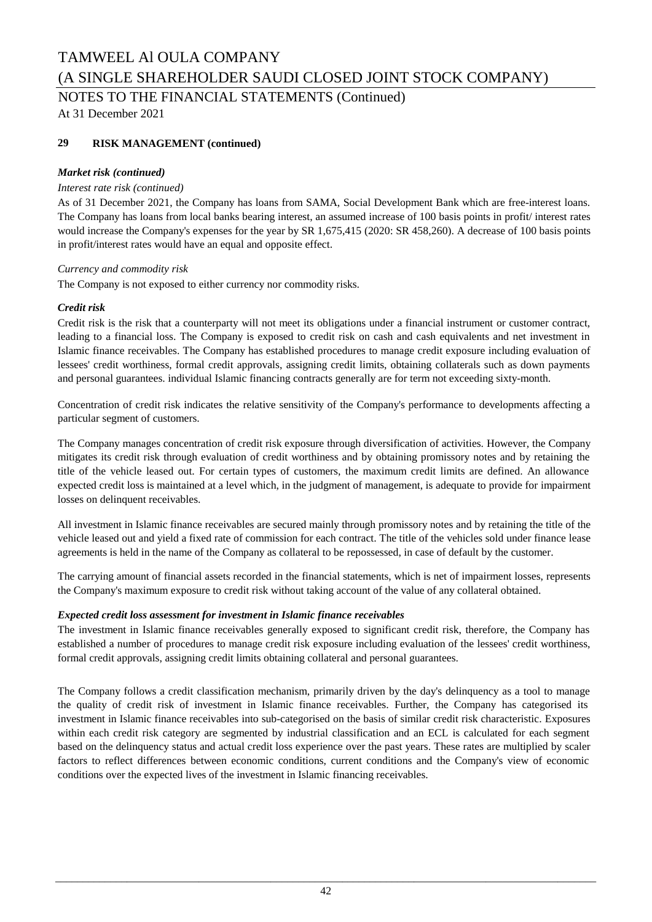NOTES TO THE FINANCIAL STATEMENTS (Continued)

At 31 December 2021

### **29 RISK MANAGEMENT (continued)**

### *Market risk (continued)*

### *Interest rate risk (continued)*

As of 31 December 2021, the Company has loans from SAMA, Social Development Bank which are free-interest loans. The Company has loans from local banks bearing interest, an assumed increase of 100 basis points in profit/ interest rates would increase the Company's expenses for the year by SR 1,675,415 (2020: SR 458,260). A decrease of 100 basis points in profit/interest rates would have an equal and opposite effect.

### *Currency and commodity risk*

The Company is not exposed to either currency nor commodity risks.

### *Credit risk*

Credit risk is the risk that a counterparty will not meet its obligations under a financial instrument or customer contract, leading to a financial loss. The Company is exposed to credit risk on cash and cash equivalents and net investment in Islamic finance receivables. The Company has established procedures to manage credit exposure including evaluation of lessees' credit worthiness, formal credit approvals, assigning credit limits, obtaining collaterals such as down payments and personal guarantees. individual Islamic financing contracts generally are for term not exceeding sixty-month.

Concentration of credit risk indicates the relative sensitivity of the Company's performance to developments affecting a particular segment of customers.

The Company manages concentration of credit risk exposure through diversification of activities. However, the Company mitigates its credit risk through evaluation of credit worthiness and by obtaining promissory notes and by retaining the title of the vehicle leased out. For certain types of customers, the maximum credit limits are defined. An allowance expected credit loss is maintained at a level which, in the judgment of management, is adequate to provide for impairment losses on delinquent receivables.

All investment in Islamic finance receivables are secured mainly through promissory notes and by retaining the title of the vehicle leased out and yield a fixed rate of commission for each contract. The title of the vehicles sold under finance lease agreements is held in the name of the Company as collateral to be repossessed, in case of default by the customer.

The carrying amount of financial assets recorded in the financial statements, which is net of impairment losses, represents the Company's maximum exposure to credit risk without taking account of the value of any collateral obtained.

### *Expected credit loss assessment for investment in Islamic finance receivables*

The investment in Islamic finance receivables generally exposed to significant credit risk, therefore, the Company has established a number of procedures to manage credit risk exposure including evaluation of the lessees' credit worthiness, formal credit approvals, assigning credit limits obtaining collateral and personal guarantees.

The Company follows a credit classification mechanism, primarily driven by the day's delinquency as a tool to manage the quality of credit risk of investment in Islamic finance receivables. Further, the Company has categorised its investment in Islamic finance receivables into sub-categorised on the basis of similar credit risk characteristic. Exposures within each credit risk category are segmented by industrial classification and an ECL is calculated for each segment based on the delinquency status and actual credit loss experience over the past years. These rates are multiplied by scaler factors to reflect differences between economic conditions, current conditions and the Company's view of economic conditions over the expected lives of the investment in Islamic financing receivables.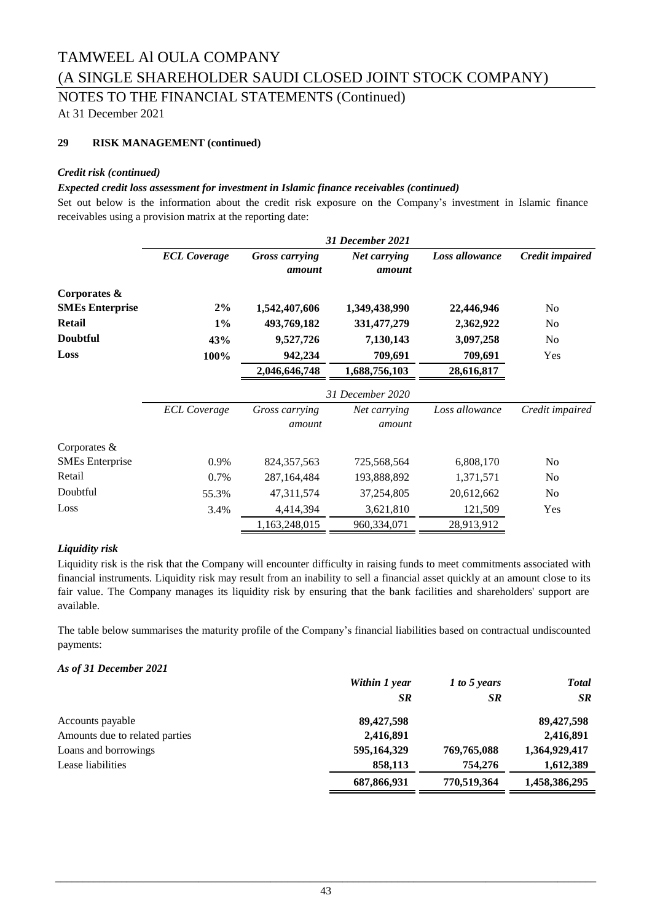### TAMWEEL Al OULA COMPANY

(A SINGLE SHAREHOLDER SAUDI CLOSED JOINT STOCK COMPANY)

NOTES TO THE FINANCIAL STATEMENTS (Continued)

At 31 December 2021

### **29 RISK MANAGEMENT (continued)**

### *Credit risk (continued)*

### *Expected credit loss assessment for investment in Islamic finance receivables (continued)*

Set out below is the information about the credit risk exposure on the Company's investment in Islamic finance receivables using a provision matrix at the reporting date:

|                        |                     |                          | 31 December 2021       |                |                 |
|------------------------|---------------------|--------------------------|------------------------|----------------|-----------------|
|                        | <b>ECL Coverage</b> | Gross carrying<br>amount | Net carrying<br>amount | Loss allowance | Credit impaired |
| Corporates &           |                     |                          |                        |                |                 |
| <b>SMEs Enterprise</b> | 2%                  | 1,542,407,606            | 1,349,438,990          | 22,446,946     | N <sub>0</sub>  |
| <b>Retail</b>          | $1\%$               | 493,769,182              | 331,477,279            | 2,362,922      | N <sub>0</sub>  |
| <b>Doubtful</b>        | 43%                 | 9,527,726                | 7,130,143              | 3,097,258      | N <sub>0</sub>  |
| Loss                   | 100%                | 942,234                  | 709,691                | 709,691        | Yes             |
|                        |                     | 2,046,646,748            | 1,688,756,103          | 28,616,817     |                 |
|                        |                     |                          | 31 December 2020       |                |                 |
|                        | <b>ECL Coverage</b> | Gross carrying           | Net carrying           | Loss allowance | Credit impaired |
|                        |                     | amount                   | amount                 |                |                 |
| Corporates &           |                     |                          |                        |                |                 |
| <b>SMEs</b> Enterprise | 0.9%                | 824, 357, 563            | 725,568,564            | 6,808,170      | No              |
| Retail                 | 0.7%                | 287, 164, 484            | 193,888,892            | 1,371,571      | No              |
| Doubtful               | 55.3%               | 47,311,574               | 37,254,805             | 20,612,662     | No              |
| Loss                   | 3.4%                | 4,414,394                | 3,621,810              | 121,509        | Yes             |
|                        |                     | 1,163,248,015            | 960,334,071            | 28,913,912     |                 |

### *Liquidity risk*

Liquidity risk is the risk that the Company will encounter difficulty in raising funds to meet commitments associated with financial instruments. Liquidity risk may result from an inability to sell a financial asset quickly at an amount close to its fair value. The Company manages its liquidity risk by ensuring that the bank facilities and shareholders' support are available.

The table below summarises the maturity profile of the Company's financial liabilities based on contractual undiscounted payments:

### *As of 31 December 2021*

|                                | Within 1 year | 1 to 5 years | <b>Total</b>  |
|--------------------------------|---------------|--------------|---------------|
|                                | <b>SR</b>     | <b>SR</b>    | <b>SR</b>     |
| Accounts payable               | 89,427,598    |              | 89,427,598    |
| Amounts due to related parties | 2,416,891     |              | 2,416,891     |
| Loans and borrowings           | 595,164,329   | 769,765,088  | 1,364,929,417 |
| Lease liabilities              | 858,113       | 754,276      | 1,612,389     |
|                                | 687,866,931   | 770,519,364  | 1,458,386,295 |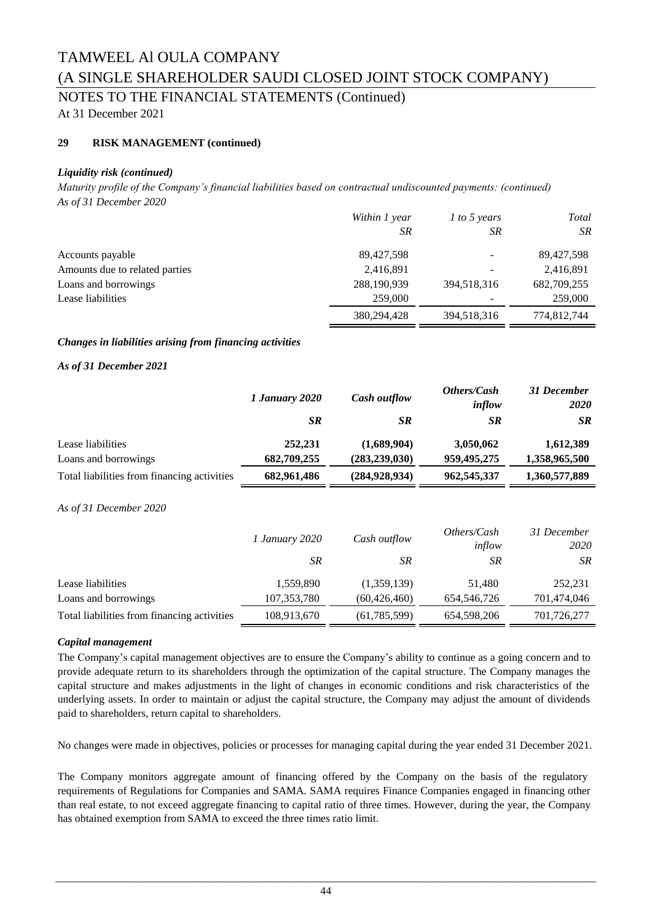### NOTES TO THE FINANCIAL STATEMENTS (Continued)

At 31 December 2021

### **29 RISK MANAGEMENT (continued)**

### *Liquidity risk (continued)*

*Maturity profile of the Company's financial liabilities based on contractual undiscounted payments: (continued) As of 31 December 2020*

|                                | Within 1 year | $1$ to 5 years | Total       |
|--------------------------------|---------------|----------------|-------------|
|                                | SR            | SR             | SR          |
| Accounts payable               | 89,427,598    |                | 89,427,598  |
| Amounts due to related parties | 2,416,891     |                | 2,416,891   |
| Loans and borrowings           | 288,190,939   | 394,518,316    | 682,709,255 |
| Lease liabilities              | 259,000       |                | 259,000     |
|                                | 380.294.428   | 394,518,316    | 774.812.744 |

### *Changes in liabilities arising from financing activities*

### *As of 31 December 2021*

|                                             | 1 January 2020 | <b>Cash outflow</b> | Others/Cash<br>inflow | 31 December<br><b>2020</b> |
|---------------------------------------------|----------------|---------------------|-----------------------|----------------------------|
|                                             | <b>SR</b>      | <b>SR</b>           | <b>SR</b>             | <b>SR</b>                  |
| Lease liabilities                           | 252,231        | (1,689,904)         | 3,050,062             | 1,612,389                  |
| Loans and borrowings                        | 682,709,255    | (283, 239, 030)     | 959,495,275           | 1,358,965,500              |
| Total liabilities from financing activities | 682,961,486    | (284, 928, 934)     | 962, 545, 337         | 1,360,577,889              |

### *As of 31 December 2020*

|                                             | <i>1 January 2020</i> | Cash outflow   |             | Others/Cash<br>inflow | 31 December<br>2020 |
|---------------------------------------------|-----------------------|----------------|-------------|-----------------------|---------------------|
|                                             | SR.                   | <b>SR</b>      | SR          | SR                    |                     |
| Lease liabilities                           | 1,559,890             | (1,359,139)    | 51.480      | 252,231               |                     |
| Loans and borrowings                        | 107,353,780           | (60, 426, 460) | 654,546,726 | 701,474,046           |                     |
| Total liabilities from financing activities | 108,913,670           | (61, 785, 599) | 654,598,206 | 701,726,277           |                     |

#### *Capital management*

The Company's capital management objectives are to ensure the Company's ability to continue as a going concern and to provide adequate return to its shareholders through the optimization of the capital structure. The Company manages the capital structure and makes adjustments in the light of changes in economic conditions and risk characteristics of the underlying assets. In order to maintain or adjust the capital structure, the Company may adjust the amount of dividends paid to shareholders, return capital to shareholders.

No changes were made in objectives, policies or processes for managing capital during the year ended 31 December 2021.

The Company monitors aggregate amount of financing offered by the Company on the basis of the regulatory requirements of Regulations for Companies and SAMA. SAMA requires Finance Companies engaged in financing other than real estate, to not exceed aggregate financing to capital ratio of three times. However, during the year, the Company has obtained exemption from SAMA to exceed the three times ratio limit.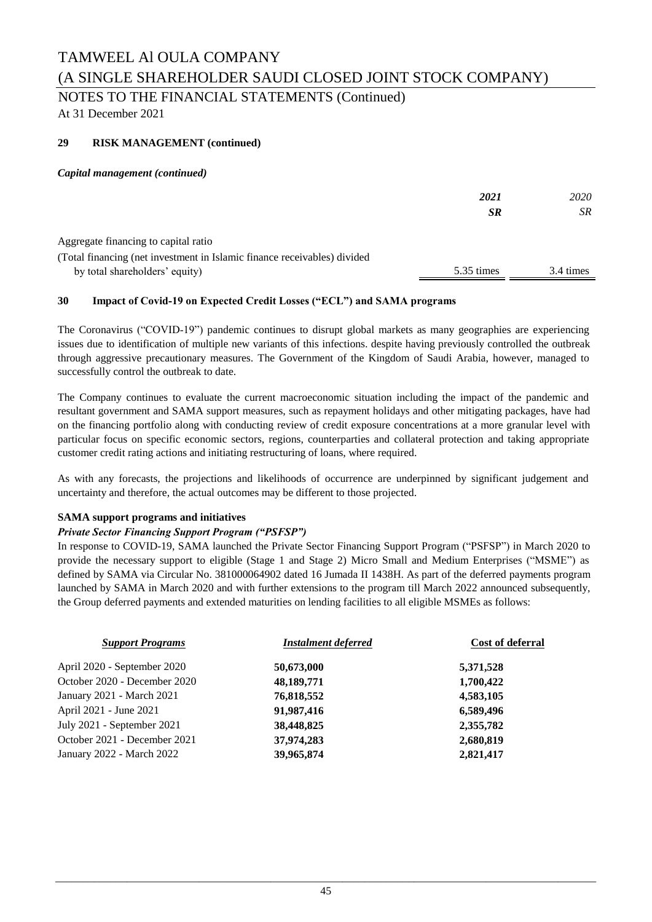### NOTES TO THE FINANCIAL STATEMENTS (Continued)

At 31 December 2021

### **29 RISK MANAGEMENT (continued)**

*Capital management (continued)*

|                                                                          | 2021       | 2020      |
|--------------------------------------------------------------------------|------------|-----------|
|                                                                          | <b>SR</b>  | <b>SR</b> |
| Aggregate financing to capital ratio                                     |            |           |
| (Total financing (net investment in Islamic finance receivables) divided |            |           |
| by total shareholders' equity)                                           | 5.35 times | 3.4 times |

### **30 Impact of Covid-19 on Expected Credit Losses ("ECL") and SAMA programs**

The Coronavirus ("COVID-19") pandemic continues to disrupt global markets as many geographies are experiencing issues due to identification of multiple new variants of this infections. despite having previously controlled the outbreak through aggressive precautionary measures. The Government of the Kingdom of Saudi Arabia, however, managed to successfully control the outbreak to date.

The Company continues to evaluate the current macroeconomic situation including the impact of the pandemic and resultant government and SAMA support measures, such as repayment holidays and other mitigating packages, have had on the financing portfolio along with conducting review of credit exposure concentrations at a more granular level with particular focus on specific economic sectors, regions, counterparties and collateral protection and taking appropriate customer credit rating actions and initiating restructuring of loans, where required.

As with any forecasts, the projections and likelihoods of occurrence are underpinned by significant judgement and uncertainty and therefore, the actual outcomes may be different to those projected.

### **SAMA support programs and initiatives**

### *Private Sector Financing Support Program ("PSFSP")*

In response to COVID-19, SAMA launched the Private Sector Financing Support Program ("PSFSP") in March 2020 to provide the necessary support to eligible (Stage 1 and Stage 2) Micro Small and Medium Enterprises ("MSME") as defined by SAMA via Circular No. 381000064902 dated 16 Jumada II 1438H. As part of the deferred payments program launched by SAMA in March 2020 and with further extensions to the program till March 2022 announced subsequently, the Group deferred payments and extended maturities on lending facilities to all eligible MSMEs as follows:

| <b>Support Programs</b>      | <b>Instalment deferred</b> | <b>Cost of deferral</b> |
|------------------------------|----------------------------|-------------------------|
| April 2020 - September 2020  | 50,673,000                 | 5,371,528               |
| October 2020 - December 2020 | 48, 189, 771               | 1,700,422               |
| January 2021 - March 2021    | 76,818,552                 | 4,583,105               |
| April 2021 - June 2021       | 91,987,416                 | 6,589,496               |
| July 2021 - September 2021   | 38,448,825                 | 2,355,782               |
| October 2021 - December 2021 | 37,974,283                 | 2,680,819               |
| January 2022 - March 2022    | 39,965,874                 | 2,821,417               |
|                              |                            |                         |